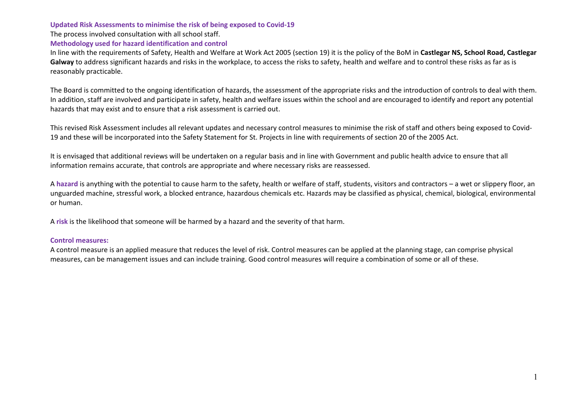#### **Updated Risk Assessments to minimise the risk of being exposed to Covid-19**

The process involved consultation with all school staff.

### **Methodology used for hazard identification and control**

In line with the requirements of Safety, Health and Welfare at Work Act 2005 (section 19) it is the policy of the BoM in **Castlegar NS, School Road, Castlegar** Galway to address significant hazards and risks in the workplace, to access the risks to safety, health and welfare and to control these risks as far as is reasonably practicable.

The Board is committed to the ongoing identification of hazards, the assessment of the appropriate risks and the introduction of controls to deal with them. In addition, staff are involved and participate in safety, health and welfare issues within the school and are encouraged to identify and report any potential hazards that may exist and to ensure that a risk assessment is carried out.

This revised Risk Assessment includes all relevant updates and necessary control measures to minimise the risk of staff and others being exposed to Covid-19 and these will be incorporated into the Safety Statement for St. Projects in line with requirements of section 20 of the 2005 Act.

It is envisaged that additional reviews will be undertaken on a regular basis and in line with Government and public health advice to ensure that all information remains accurate, that controls are appropriate and where necessary risks are reassessed.

A **hazard** is anything with the potential to cause harm to the safety, health or welfare of staff, students, visitors and contractors – a wet or slippery floor, an unguarded machine, stressful work, a blocked entrance, hazardous chemicals etc. Hazards may be classified as physical, chemical, biological, environmental or human.

A **risk** is the likelihood that someone will be harmed by a hazard and the severity of that harm.

#### **Control measures:**

A control measure is an applied measure that reduces the level of risk. Control measures can be applied at the planning stage, can comprise physical measures, can be management issues and can include training. Good control measures will require a combination of some or all of these.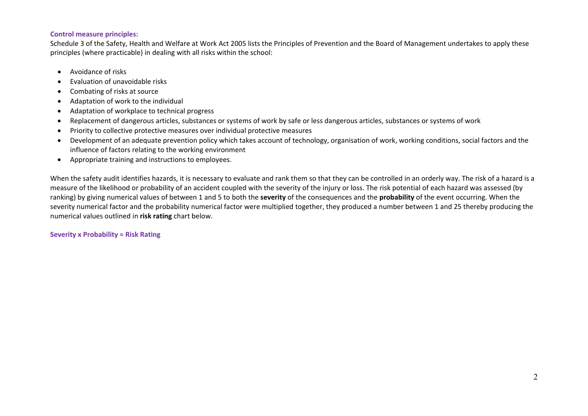## **Control measure principles:**

Schedule 3 of the Safety, Health and Welfare at Work Act 2005 lists the Principles of Prevention and the Board of Management undertakes to apply these principles (where practicable) in dealing with all risks within the school:

- Avoidance of risks
- Evaluation of unavoidable risks
- Combating of risks at source
- Adaptation of work to the individual
- Adaptation of workplace to technical progress
- Replacement of dangerous articles, substances or systems of work by safe or less dangerous articles, substances or systems of work
- Priority to collective protective measures over individual protective measures
- Development of an adequate prevention policy which takes account of technology, organisation of work, working conditions, social factors and the influence of factors relating to the working environment
- Appropriate training and instructions to employees.

When the safety audit identifies hazards, it is necessary to evaluate and rank them so that they can be controlled in an orderly way. The risk of a hazard is a measure of the likelihood or probability of an accident coupled with the severity of the injury or loss. The risk potential of each hazard was assessed (by ranking) by giving numerical values of between 1 and 5 to both the **severity** of the consequences and the **probability** of the event occurring. When the severity numerical factor and the probability numerical factor were multiplied together, they produced a number between 1 and 25 thereby producing the numerical values outlined in **risk rating** chart below.

## **Severity x Probability = Risk Rating**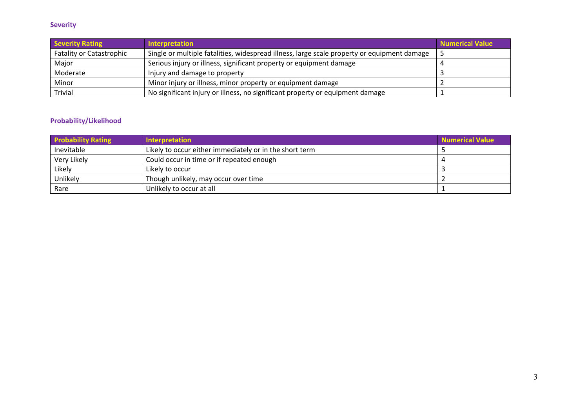# **Severity**

| <b>Severity Rating</b>          | Interpretation                                                                              | <b>Numerical Value</b> |
|---------------------------------|---------------------------------------------------------------------------------------------|------------------------|
| <b>Fatality or Catastrophic</b> | Single or multiple fatalities, widespread illness, large scale property or equipment damage |                        |
| Major                           | Serious injury or illness, significant property or equipment damage                         |                        |
| Moderate                        | Injury and damage to property                                                               |                        |
| Minor                           | Minor injury or illness, minor property or equipment damage                                 |                        |
| <b>Trivial</b>                  | No significant injury or illness, no significant property or equipment damage               |                        |

# **Probability/Likelihood**

| <b>Probability Rating</b> | Interpretation                                          | Numerical Value |
|---------------------------|---------------------------------------------------------|-----------------|
| Inevitable                | Likely to occur either immediately or in the short term |                 |
| Very Likely               | Could occur in time or if repeated enough               |                 |
| Likely                    | Likely to occur                                         |                 |
| Unlikely                  | Though unlikely, may occur over time                    |                 |
| Rare                      | Unlikely to occur at all                                |                 |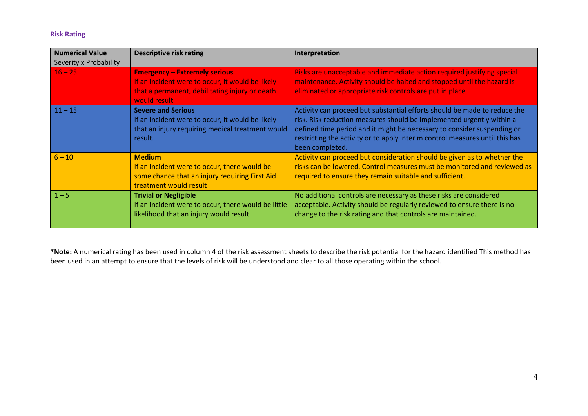# **Risk Rating**

| <b>Numerical Value</b><br>Severity x Probability | <b>Descriptive risk rating</b>                                                                                                                             | Interpretation                                                                                                                                                                                                                                                                                                                   |
|--------------------------------------------------|------------------------------------------------------------------------------------------------------------------------------------------------------------|----------------------------------------------------------------------------------------------------------------------------------------------------------------------------------------------------------------------------------------------------------------------------------------------------------------------------------|
| $16 - 25$                                        | <b>Emergency - Extremely serious</b><br>If an incident were to occur, it would be likely<br>that a permanent, debilitating injury or death<br>would result | Risks are unacceptable and immediate action required justifying special<br>maintenance. Activity should be halted and stopped until the hazard is<br>eliminated or appropriate risk controls are put in place.                                                                                                                   |
| $11 - 15$                                        | <b>Severe and Serious</b><br>If an incident were to occur, it would be likely<br>that an injury requiring medical treatment would<br>result.               | Activity can proceed but substantial efforts should be made to reduce the<br>risk. Risk reduction measures should be implemented urgently within a<br>defined time period and it might be necessary to consider suspending or<br>restricting the activity or to apply interim control measures until this has<br>been completed. |
| $6 - 10$                                         | <b>Medium</b><br>If an incident were to occur, there would be<br>some chance that an injury requiring First Aid<br>treatment would result                  | Activity can proceed but consideration should be given as to whether the<br>risks can be lowered. Control measures must be monitored and reviewed as<br>required to ensure they remain suitable and sufficient.                                                                                                                  |
| $1 - 5$                                          | <b>Trivial or Negligible</b><br>If an incident were to occur, there would be little<br>likelihood that an injury would result                              | No additional controls are necessary as these risks are considered<br>acceptable. Activity should be regularly reviewed to ensure there is no<br>change to the risk rating and that controls are maintained.                                                                                                                     |

**\*Note:** A numerical rating has been used in column 4 of the risk assessment sheets to describe the risk potential for the hazard identified This method has been used in an attempt to ensure that the levels of risk will be understood and clear to all those operating within the school.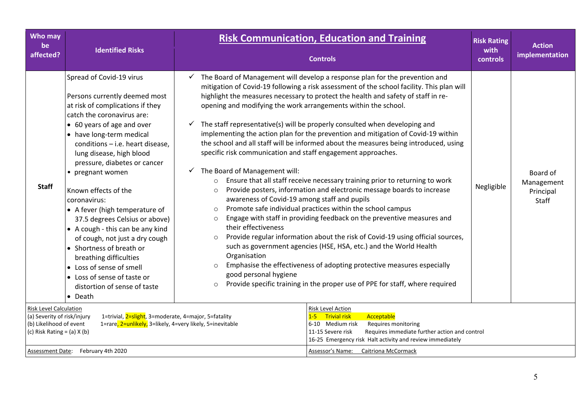| <b>Who may</b><br>be<br>affected?                                                                                          | <b>Identified Risks</b>                                                                                                                                                                                                                                                                                                                                                                                                                                                                                                                                                                                                                                         | <b>Risk Communication, Education and Training</b><br><b>Controls</b>                                                                                                                                                                                                                                                                                                                                                                                                                                                                                                                                                                                                                                                                                                                                                                                                                                                                                                                                                                                                                                                                                                                                                                                                                                                                                                                                                                                                                                                                                 | <b>Risk Rating</b><br>with<br>controls | <b>Action</b><br>implementation              |
|----------------------------------------------------------------------------------------------------------------------------|-----------------------------------------------------------------------------------------------------------------------------------------------------------------------------------------------------------------------------------------------------------------------------------------------------------------------------------------------------------------------------------------------------------------------------------------------------------------------------------------------------------------------------------------------------------------------------------------------------------------------------------------------------------------|------------------------------------------------------------------------------------------------------------------------------------------------------------------------------------------------------------------------------------------------------------------------------------------------------------------------------------------------------------------------------------------------------------------------------------------------------------------------------------------------------------------------------------------------------------------------------------------------------------------------------------------------------------------------------------------------------------------------------------------------------------------------------------------------------------------------------------------------------------------------------------------------------------------------------------------------------------------------------------------------------------------------------------------------------------------------------------------------------------------------------------------------------------------------------------------------------------------------------------------------------------------------------------------------------------------------------------------------------------------------------------------------------------------------------------------------------------------------------------------------------------------------------------------------------|----------------------------------------|----------------------------------------------|
| <b>Staff</b>                                                                                                               | Spread of Covid-19 virus<br>Persons currently deemed most<br>at risk of complications if they<br>catch the coronavirus are:<br>• 60 years of age and over<br>• have long-term medical<br>conditions - i.e. heart disease,<br>lung disease, high blood<br>pressure, diabetes or cancer<br>• pregnant women<br>Known effects of the<br>coronavirus:<br>• A fever (high temperature of<br>37.5 degrees Celsius or above)<br>• A cough - this can be any kind<br>of cough, not just a dry cough<br>• Shortness of breath or<br>breathing difficulties<br>• Loss of sense of smell<br>• Loss of sense of taste or<br>distortion of sense of taste<br>$\bullet$ Death | $\checkmark$ The Board of Management will develop a response plan for the prevention and<br>mitigation of Covid-19 following a risk assessment of the school facility. This plan will<br>highlight the measures necessary to protect the health and safety of staff in re-<br>opening and modifying the work arrangements within the school.<br>The staff representative(s) will be properly consulted when developing and<br>$\checkmark$<br>implementing the action plan for the prevention and mitigation of Covid-19 within<br>the school and all staff will be informed about the measures being introduced, using<br>specific risk communication and staff engagement approaches.<br>$\checkmark$ The Board of Management will:<br>Ensure that all staff receive necessary training prior to returning to work<br>$\circ$<br>Provide posters, information and electronic message boards to increase<br>$\circ$<br>awareness of Covid-19 among staff and pupils<br>Promote safe individual practices within the school campus<br>$\circ$<br>Engage with staff in providing feedback on the preventive measures and<br>$\circ$<br>their effectiveness<br>Provide regular information about the risk of Covid-19 using official sources,<br>$\circ$<br>such as government agencies (HSE, HSA, etc.) and the World Health<br>Organisation<br>Emphasise the effectiveness of adopting protective measures especially<br>$\circ$<br>good personal hygiene<br>Provide specific training in the proper use of PPE for staff, where required<br>$\circ$ | Negligible                             | Board of<br>Management<br>Principal<br>Staff |
| <b>Risk Level Calculation</b><br>(a) Severity of risk/injury<br>(b) Likelihood of event<br>(c) Risk Rating = $(a)$ X $(b)$ | 1=trivial, 2=slight, 3=moderate, 4=major, 5=fatality<br>1=rare, 2=unlikely, 3=likely, 4=very likely, 5=inevitable                                                                                                                                                                                                                                                                                                                                                                                                                                                                                                                                               | <b>Risk Level Action</b><br>Acceptable<br>$1-5$<br><b>Trivial risk</b><br>6-10 Medium risk<br>Requires monitoring<br>11-15 Severe risk<br>Requires immediate further action and control<br>16-25 Emergency risk Halt activity and review immediately                                                                                                                                                                                                                                                                                                                                                                                                                                                                                                                                                                                                                                                                                                                                                                                                                                                                                                                                                                                                                                                                                                                                                                                                                                                                                                 |                                        |                                              |
|                                                                                                                            | Assessment Date: February 4th 2020                                                                                                                                                                                                                                                                                                                                                                                                                                                                                                                                                                                                                              | Assessor's Name: Caitriona McCormack                                                                                                                                                                                                                                                                                                                                                                                                                                                                                                                                                                                                                                                                                                                                                                                                                                                                                                                                                                                                                                                                                                                                                                                                                                                                                                                                                                                                                                                                                                                 |                                        |                                              |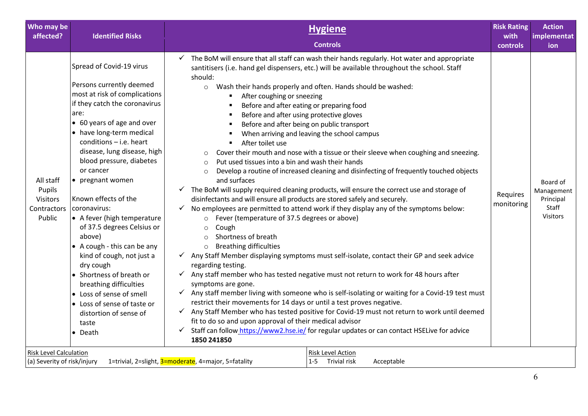| Who may be<br>affected?                                         | <b>Identified Risks</b>                                                                                                                                                                                                                                                                                                                                                              | <b>Hygiene</b>                                                                                                                                                                                                                                                                                                                                                                                                                                                                                                                                                                                                                                                                                                                                                                                                                                                                                                                                                                                                                                                                                                                                                                                                                                                                                          | <b>Risk Rating</b><br>with | <b>Action</b><br>implementat                             |
|-----------------------------------------------------------------|--------------------------------------------------------------------------------------------------------------------------------------------------------------------------------------------------------------------------------------------------------------------------------------------------------------------------------------------------------------------------------------|---------------------------------------------------------------------------------------------------------------------------------------------------------------------------------------------------------------------------------------------------------------------------------------------------------------------------------------------------------------------------------------------------------------------------------------------------------------------------------------------------------------------------------------------------------------------------------------------------------------------------------------------------------------------------------------------------------------------------------------------------------------------------------------------------------------------------------------------------------------------------------------------------------------------------------------------------------------------------------------------------------------------------------------------------------------------------------------------------------------------------------------------------------------------------------------------------------------------------------------------------------------------------------------------------------|----------------------------|----------------------------------------------------------|
|                                                                 |                                                                                                                                                                                                                                                                                                                                                                                      | <b>Controls</b>                                                                                                                                                                                                                                                                                                                                                                                                                                                                                                                                                                                                                                                                                                                                                                                                                                                                                                                                                                                                                                                                                                                                                                                                                                                                                         | controls                   | ion                                                      |
|                                                                 | Spread of Covid-19 virus<br>Persons currently deemed<br>most at risk of complications<br>if they catch the coronavirus<br>are:<br>• 60 years of age and over<br>• have long-term medical<br>$conditions - i.e.$ heart<br>disease, lung disease, high<br>blood pressure, diabetes                                                                                                     | The BoM will ensure that all staff can wash their hands regularly. Hot water and appropriate<br>$\checkmark$<br>santitisers (i.e. hand gel dispensers, etc.) will be available throughout the school. Staff<br>should:<br>Wash their hands properly and often. Hands should be washed:<br>$\circ$<br>After coughing or sneezing<br>Before and after eating or preparing food<br>Before and after using protective gloves<br>Before and after being on public transport<br>When arriving and leaving the school campus<br>After toilet use<br>Cover their mouth and nose with a tissue or their sleeve when coughing and sneezing.<br>$\circ$<br>Put used tissues into a bin and wash their hands<br>$\circ$                                                                                                                                                                                                                                                                                                                                                                                                                                                                                                                                                                                             |                            |                                                          |
| All staff<br>Pupils<br><b>Visitors</b><br>Contractors<br>Public | or cancer<br>• pregnant women<br>Known effects of the<br>coronavirus:<br>• A fever (high temperature<br>of 37.5 degrees Celsius or<br>above)<br>• A cough - this can be any<br>kind of cough, not just a<br>dry cough<br>• Shortness of breath or<br>breathing difficulties<br>• Loss of sense of smell<br>• Loss of sense of taste or<br>distortion of sense of<br>taste<br>• Death | Develop a routine of increased cleaning and disinfecting of frequently touched objects<br>$\circ$<br>and surfaces<br>The BoM will supply required cleaning products, will ensure the correct use and storage of<br>$\checkmark$<br>disinfectants and will ensure all products are stored safely and securely.<br>No employees are permitted to attend work if they display any of the symptoms below:<br>Fever (temperature of 37.5 degrees or above)<br>$\circ$<br>Cough<br>$\Omega$<br>Shortness of breath<br>$\circ$<br><b>Breathing difficulties</b><br>$\Omega$<br>√ Any Staff Member displaying symptoms must self-isolate, contact their GP and seek advice<br>regarding testing.<br>Any staff member who has tested negative must not return to work for 48 hours after<br>symptoms are gone.<br>Any staff member living with someone who is self-isolating or waiting for a Covid-19 test must<br>$\checkmark$<br>restrict their movements for 14 days or until a test proves negative.<br>Any Staff Member who has tested positive for Covid-19 must not return to work until deemed<br>$\checkmark$<br>fit to do so and upon approval of their medical advisor<br>Staff can follow https://www2.hse.ie/ for regular updates or can contact HSELive for advice<br>$\checkmark$<br>1850 241850 | Requires<br>monitoring     | Board of<br>Management<br>Principal<br>Staff<br>Visitors |
| <b>Risk Level Calculation</b><br>(a) Severity of risk/injury    |                                                                                                                                                                                                                                                                                                                                                                                      | <b>Risk Level Action</b><br>1=trivial, 2=slight, 3=moderate, 4=major, 5=fatality<br>1-5 Trivial risk<br>Acceptable                                                                                                                                                                                                                                                                                                                                                                                                                                                                                                                                                                                                                                                                                                                                                                                                                                                                                                                                                                                                                                                                                                                                                                                      |                            |                                                          |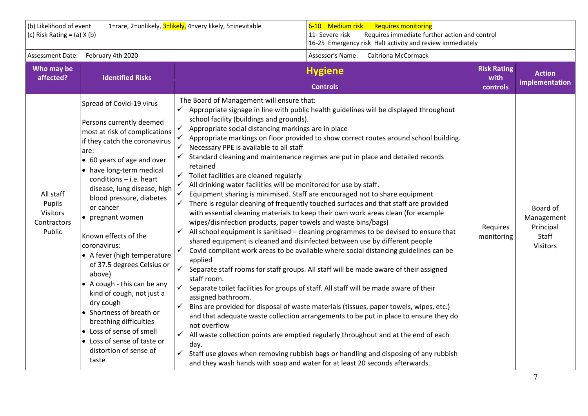| (b) Likelihood of event<br>(c) Risk Rating = $(a)$ X $(b)$      |                                                                                                                                                                                                                                                                                                                                                                                                                                                                                                                                                                                                                                                               | 1=rare, 2=unlikely, 3=likely, 4=very likely, 5=inevitable                                                                                                                                                                                                                                                                                                                                                                                                                                                                                             | 6-10 Medium risk<br><b>Requires monitoring</b><br>Requires immediate further action and control<br>11- Severe risk<br>16-25 Emergency risk Halt activity and review immediately                                                                                                                                                                                                                                                                                                                                                                                                                                                                                                                                                                                                                                                                                                                                                                                                                                                                                                                                                                                                                                                                                                                                                                                                                                                 |                            |                                                                 |
|-----------------------------------------------------------------|---------------------------------------------------------------------------------------------------------------------------------------------------------------------------------------------------------------------------------------------------------------------------------------------------------------------------------------------------------------------------------------------------------------------------------------------------------------------------------------------------------------------------------------------------------------------------------------------------------------------------------------------------------------|-------------------------------------------------------------------------------------------------------------------------------------------------------------------------------------------------------------------------------------------------------------------------------------------------------------------------------------------------------------------------------------------------------------------------------------------------------------------------------------------------------------------------------------------------------|---------------------------------------------------------------------------------------------------------------------------------------------------------------------------------------------------------------------------------------------------------------------------------------------------------------------------------------------------------------------------------------------------------------------------------------------------------------------------------------------------------------------------------------------------------------------------------------------------------------------------------------------------------------------------------------------------------------------------------------------------------------------------------------------------------------------------------------------------------------------------------------------------------------------------------------------------------------------------------------------------------------------------------------------------------------------------------------------------------------------------------------------------------------------------------------------------------------------------------------------------------------------------------------------------------------------------------------------------------------------------------------------------------------------------------|----------------------------|-----------------------------------------------------------------|
| <b>Assessment Date:</b>                                         | February 4th 2020                                                                                                                                                                                                                                                                                                                                                                                                                                                                                                                                                                                                                                             |                                                                                                                                                                                                                                                                                                                                                                                                                                                                                                                                                       | Assessor's Name:<br><b>Caitriona McCormack</b>                                                                                                                                                                                                                                                                                                                                                                                                                                                                                                                                                                                                                                                                                                                                                                                                                                                                                                                                                                                                                                                                                                                                                                                                                                                                                                                                                                                  |                            |                                                                 |
| Who may be<br>affected?                                         | <b>Identified Risks</b>                                                                                                                                                                                                                                                                                                                                                                                                                                                                                                                                                                                                                                       |                                                                                                                                                                                                                                                                                                                                                                                                                                                                                                                                                       | <b>Hygiene</b>                                                                                                                                                                                                                                                                                                                                                                                                                                                                                                                                                                                                                                                                                                                                                                                                                                                                                                                                                                                                                                                                                                                                                                                                                                                                                                                                                                                                                  | <b>Risk Rating</b><br>with | <b>Action</b><br>implementation                                 |
|                                                                 |                                                                                                                                                                                                                                                                                                                                                                                                                                                                                                                                                                                                                                                               |                                                                                                                                                                                                                                                                                                                                                                                                                                                                                                                                                       | <b>Controls</b>                                                                                                                                                                                                                                                                                                                                                                                                                                                                                                                                                                                                                                                                                                                                                                                                                                                                                                                                                                                                                                                                                                                                                                                                                                                                                                                                                                                                                 | controls                   |                                                                 |
| All staff<br>Pupils<br><b>Visitors</b><br>Contractors<br>Public | Spread of Covid-19 virus<br>Persons currently deemed<br>most at risk of complications<br>if they catch the coronavirus<br>are:<br>• 60 years of age and over<br>• have long-term medical<br>conditions $-$ i.e. heart<br>disease, lung disease, high<br>blood pressure, diabetes<br>or cancer<br>• pregnant women<br>Known effects of the<br>coronavirus:<br>• A fever (high temperature<br>of 37.5 degrees Celsius or<br>above)<br>• A cough - this can be any<br>kind of cough, not just a<br>dry cough<br>• Shortness of breath or<br>breathing difficulties<br>• Loss of sense of smell<br>• Loss of sense of taste or<br>distortion of sense of<br>taste | The Board of Management will ensure that:<br>$\checkmark$<br>school facility (buildings and grounds).<br>Appropriate social distancing markings are in place<br>✓<br>Necessary PPE is available to all staff<br>✓<br>retained<br>Toilet facilities are cleaned regularly<br>✓<br>All drinking water facilities will be monitored for use by staff.<br>✓<br>wipes/disinfection products, paper towels and waste bins/bags)<br>✓<br>applied<br>✓<br>staff room.<br>$\checkmark$<br>assigned bathroom.<br>✓<br>not overflow<br>$\checkmark$<br>day.<br>✓ | Appropriate signage in line with public health guidelines will be displayed throughout<br>Appropriate markings on floor provided to show correct routes around school building.<br>Standard cleaning and maintenance regimes are put in place and detailed records<br>Equipment sharing is minimised. Staff are encouraged not to share equipment<br>There is regular cleaning of frequently touched surfaces and that staff are provided<br>with essential cleaning materials to keep their own work areas clean (for example<br>All school equipment is sanitised - cleaning programmes to be devised to ensure that<br>shared equipment is cleaned and disinfected between use by different people<br>Covid compliant work areas to be available where social distancing guidelines can be<br>Separate staff rooms for staff groups. All staff will be made aware of their assigned<br>Separate toilet facilities for groups of staff. All staff will be made aware of their<br>Bins are provided for disposal of waste materials (tissues, paper towels, wipes, etc.)<br>and that adequate waste collection arrangements to be put in place to ensure they do<br>All waste collection points are emptied regularly throughout and at the end of each<br>Staff use gloves when removing rubbish bags or handling and disposing of any rubbish<br>and they wash hands with soap and water for at least 20 seconds afterwards. | Requires<br>monitoring     | Board of<br>Management<br>Principal<br>Staff<br><b>Visitors</b> |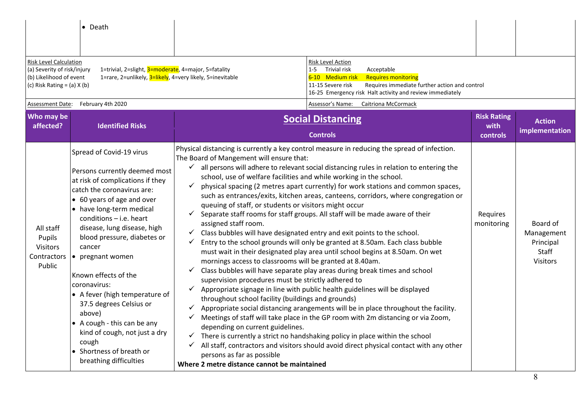|                                                                                                                            | $\bullet$ Death                                                                                                                                                                                                                                                                                                                                                                                                                                                                                                                                              |                                                                                                                                                                                                                                                                                                                                                                                                                                                                                                                                                                                                                                                                                                                                                                                                                                                                                                                                                                                                                                                                                                                                                                                                                                                                                                                                                                                                                                                                                                                                                                                                                                                                                                                                                                                                  |                                        |                                                                 |
|----------------------------------------------------------------------------------------------------------------------------|--------------------------------------------------------------------------------------------------------------------------------------------------------------------------------------------------------------------------------------------------------------------------------------------------------------------------------------------------------------------------------------------------------------------------------------------------------------------------------------------------------------------------------------------------------------|--------------------------------------------------------------------------------------------------------------------------------------------------------------------------------------------------------------------------------------------------------------------------------------------------------------------------------------------------------------------------------------------------------------------------------------------------------------------------------------------------------------------------------------------------------------------------------------------------------------------------------------------------------------------------------------------------------------------------------------------------------------------------------------------------------------------------------------------------------------------------------------------------------------------------------------------------------------------------------------------------------------------------------------------------------------------------------------------------------------------------------------------------------------------------------------------------------------------------------------------------------------------------------------------------------------------------------------------------------------------------------------------------------------------------------------------------------------------------------------------------------------------------------------------------------------------------------------------------------------------------------------------------------------------------------------------------------------------------------------------------------------------------------------------------|----------------------------------------|-----------------------------------------------------------------|
| <b>Risk Level Calculation</b><br>(a) Severity of risk/injury<br>(b) Likelihood of event<br>(c) Risk Rating $=$ (a) $X$ (b) | 1=trivial, 2=slight, 3=moderate, 4=major, 5=fatality<br>1=rare, 2=unlikely, 3=likely, 4=very likely, 5=inevitable                                                                                                                                                                                                                                                                                                                                                                                                                                            | <b>Risk Level Action</b><br>1-5 Trivial risk<br>Acceptable<br>6-10 Medium risk<br><b>Requires monitoring</b><br>11-15 Severe risk<br>Requires immediate further action and control<br>16-25 Emergency risk Halt activity and review immediately                                                                                                                                                                                                                                                                                                                                                                                                                                                                                                                                                                                                                                                                                                                                                                                                                                                                                                                                                                                                                                                                                                                                                                                                                                                                                                                                                                                                                                                                                                                                                  |                                        |                                                                 |
| Assessment Date:                                                                                                           | February 4th 2020                                                                                                                                                                                                                                                                                                                                                                                                                                                                                                                                            | Assessor's Name:<br>Caitriona McCormack                                                                                                                                                                                                                                                                                                                                                                                                                                                                                                                                                                                                                                                                                                                                                                                                                                                                                                                                                                                                                                                                                                                                                                                                                                                                                                                                                                                                                                                                                                                                                                                                                                                                                                                                                          |                                        |                                                                 |
| Who may be<br>affected?                                                                                                    | <b>Identified Risks</b>                                                                                                                                                                                                                                                                                                                                                                                                                                                                                                                                      | <b>Social Distancing</b><br><b>Controls</b>                                                                                                                                                                                                                                                                                                                                                                                                                                                                                                                                                                                                                                                                                                                                                                                                                                                                                                                                                                                                                                                                                                                                                                                                                                                                                                                                                                                                                                                                                                                                                                                                                                                                                                                                                      | <b>Risk Rating</b><br>with<br>controls | <b>Action</b><br>implementation                                 |
| All staff<br>Pupils<br><b>Visitors</b><br>Contractors<br>Public                                                            | Spread of Covid-19 virus<br>Persons currently deemed most<br>at risk of complications if they<br>catch the coronavirus are:<br>• 60 years of age and over<br>• have long-term medical<br>conditions $-$ i.e. heart<br>disease, lung disease, high<br>blood pressure, diabetes or<br>cancer<br>• pregnant women<br>Known effects of the<br>coronavirus:<br>• A fever (high temperature of<br>37.5 degrees Celsius or<br>above)<br>• A cough - this can be any<br>kind of cough, not just a dry<br>cough<br>• Shortness of breath or<br>breathing difficulties | Physical distancing is currently a key control measure in reducing the spread of infection.<br>The Board of Mangement will ensure that:<br>$\checkmark$ all persons will adhere to relevant social distancing rules in relation to entering the<br>school, use of welfare facilities and while working in the school.<br>physical spacing (2 metres apart currently) for work stations and common spaces,<br>$\checkmark$<br>such as entrances/exits, kitchen areas, canteens, corridors, where congregation or<br>queuing of staff, or students or visitors might occur<br>Separate staff rooms for staff groups. All staff will be made aware of their<br>$\checkmark$<br>assigned staff room.<br>Class bubbles will have designated entry and exit points to the school.<br>$\checkmark$<br>Entry to the school grounds will only be granted at 8.50am. Each class bubble<br>✓<br>must wait in their designated play area until school begins at 8.50am. On wet<br>mornings access to classrooms will be granted at 8.40am.<br>Class bubbles will have separate play areas during break times and school<br>$\checkmark$<br>supervision procedures must be strictly adhered to<br>$\checkmark$ Appropriate signage in line with public health guidelines will be displayed<br>throughout school facility (buildings and grounds)<br>Appropriate social distancing arangements will be in place throughout the facility.<br>$\checkmark$<br>Meetings of staff will take place in the GP room with 2m distancing or via Zoom,<br>$\checkmark$<br>depending on current guidelines.<br>There is currently a strict no handshaking policy in place within the school<br>All staff, contractors and visitors should avoid direct physical contact with any other<br>✓<br>persons as far as possible | Requires<br>monitoring                 | Board of<br>Management<br>Principal<br>Staff<br><b>Visitors</b> |
|                                                                                                                            |                                                                                                                                                                                                                                                                                                                                                                                                                                                                                                                                                              | Where 2 metre distance cannot be maintained                                                                                                                                                                                                                                                                                                                                                                                                                                                                                                                                                                                                                                                                                                                                                                                                                                                                                                                                                                                                                                                                                                                                                                                                                                                                                                                                                                                                                                                                                                                                                                                                                                                                                                                                                      |                                        | 8                                                               |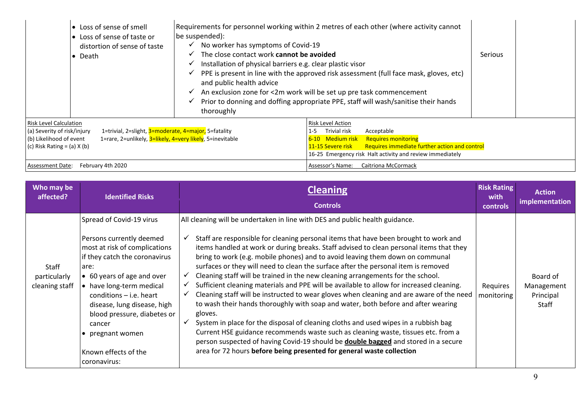| • Loss of sense of smell<br>• Loss of sense of taste or<br>distortion of sense of taste<br>• Death                                                                                                                                              | Requirements for personnel working within 2 metres of each other (where activity cannot<br>be suspended):<br>$\checkmark$ No worker has symptoms of Covid-19<br>The close contact work cannot be avoided<br>$\checkmark$ Installation of physical barriers e.g. clear plastic visor<br>$\checkmark$ PPE is present in line with the approved risk assessment (full face mask, gloves, etc)<br>and public health advice<br>$\checkmark$ An exclusion zone for <2m work will be set up pre task commencement<br>$\checkmark$ Prior to donning and doffing appropriate PPE, staff will wash/sanitise their hands<br>thoroughly |                                                                                                                                                                                                                                                    | <b>Serious</b> |
|-------------------------------------------------------------------------------------------------------------------------------------------------------------------------------------------------------------------------------------------------|-----------------------------------------------------------------------------------------------------------------------------------------------------------------------------------------------------------------------------------------------------------------------------------------------------------------------------------------------------------------------------------------------------------------------------------------------------------------------------------------------------------------------------------------------------------------------------------------------------------------------------|----------------------------------------------------------------------------------------------------------------------------------------------------------------------------------------------------------------------------------------------------|----------------|
| <b>Risk Level Calculation</b><br>1=trivial, 2=slight, 3=moderate, 4=major, 5=fatality<br>(a) Severity of risk/injury<br>1=rare, 2=unlikely, 3=likely, 4=very likely, 5=inevitable<br>(b) Likelihood of event<br>(c) Risk Rating $=$ (a) $X$ (b) |                                                                                                                                                                                                                                                                                                                                                                                                                                                                                                                                                                                                                             | <b>Risk Level Action</b><br>Trivial risk<br>Acceptable<br>1-5<br>6-10 Medium risk<br><b>Requires monitoring</b><br>Requires immediate further action and control<br>11-15 Severe risk<br>16-25 Emergency risk Halt activity and review immediately |                |
| <b>Assessment Date:</b><br>February 4th 2020                                                                                                                                                                                                    |                                                                                                                                                                                                                                                                                                                                                                                                                                                                                                                                                                                                                             | Assessor's Name:<br><b>Caitriona McCormack</b>                                                                                                                                                                                                     |                |

| Who may be<br>affected?                 | <b>Identified Risks</b>                                                                                                                                                                                                                                                                                                                                   | <b>Cleaning</b><br><b>Controls</b>                                                                                                                                                                                                                                                                                                                                                                                                                                                                                                                                                                                                                                                                                                                                                                                                                                                                                                                                                                                                                                                                                                                                                  | <b>Risk Rating</b><br>with<br>controls | <b>Action</b><br>implementation              |
|-----------------------------------------|-----------------------------------------------------------------------------------------------------------------------------------------------------------------------------------------------------------------------------------------------------------------------------------------------------------------------------------------------------------|-------------------------------------------------------------------------------------------------------------------------------------------------------------------------------------------------------------------------------------------------------------------------------------------------------------------------------------------------------------------------------------------------------------------------------------------------------------------------------------------------------------------------------------------------------------------------------------------------------------------------------------------------------------------------------------------------------------------------------------------------------------------------------------------------------------------------------------------------------------------------------------------------------------------------------------------------------------------------------------------------------------------------------------------------------------------------------------------------------------------------------------------------------------------------------------|----------------------------------------|----------------------------------------------|
| Staff<br>particularly<br>cleaning staff | Spread of Covid-19 virus<br>Persons currently deemed<br>most at risk of complications<br>if they catch the coronavirus<br>are:<br>• 60 years of age and over<br>• have long-term medical<br>conditions $-$ i.e. heart<br>disease, lung disease, high<br>blood pressure, diabetes or<br>cancer<br>• pregnant women<br>Known effects of the<br>coronavirus: | All cleaning will be undertaken in line with DES and public health guidance.<br>Staff are responsible for cleaning personal items that have been brought to work and<br>items handled at work or during breaks. Staff advised to clean personal items that they<br>bring to work (e.g. mobile phones) and to avoid leaving them down on communal<br>surfaces or they will need to clean the surface after the personal item is removed<br>Cleaning staff will be trained in the new cleaning arrangements for the school.<br>$\checkmark$<br>Sufficient cleaning materials and PPE will be available to allow for increased cleaning.<br>Cleaning staff will be instructed to wear gloves when cleaning and are aware of the need<br>to wash their hands thoroughly with soap and water, both before and after wearing<br>gloves.<br>System in place for the disposal of cleaning cloths and used wipes in a rubbish bag<br>Current HSE guidance recommends waste such as cleaning waste, tissues etc. from a<br>person suspected of having Covid-19 should be <b>double bagged</b> and stored in a secure<br>area for 72 hours before being presented for general waste collection | Requires<br>monitoring                 | Board of<br>Management<br>Principal<br>Staff |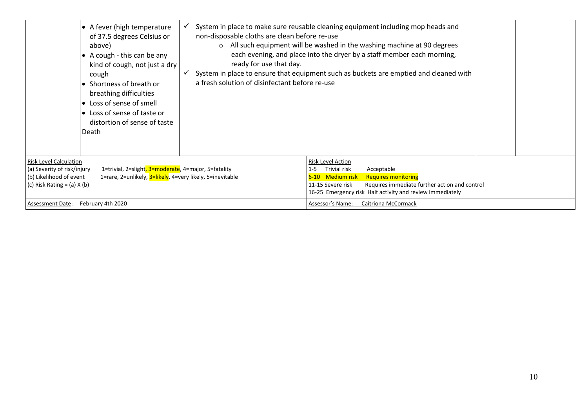| • A fever (high temperature<br>non-disposable cloths are clean before re-use<br>of 37.5 degrees Celsius or<br>above)<br>$\circ$<br>• A cough - this can be any<br>ready for use that day.<br>kind of cough, not just a dry<br>✓<br>cough<br>a fresh solution of disinfectant before re-use<br>• Shortness of breath or<br>breathing difficulties<br>• Loss of sense of smell<br>• Loss of sense of taste or<br>distortion of sense of taste<br>Death | System in place to make sure reusable cleaning equipment including mop heads and<br>All such equipment will be washed in the washing machine at 90 degrees<br>each evening, and place into the dryer by a staff member each morning,<br>System in place to ensure that equipment such as buckets are emptied and cleaned with |
|------------------------------------------------------------------------------------------------------------------------------------------------------------------------------------------------------------------------------------------------------------------------------------------------------------------------------------------------------------------------------------------------------------------------------------------------------|-------------------------------------------------------------------------------------------------------------------------------------------------------------------------------------------------------------------------------------------------------------------------------------------------------------------------------|
| Risk Level Calculation<br>1=trivial, 2=slight, 3=moderate, 4=major, 5=fatality<br>(a) Severity of risk/injury<br>(b) Likelihood of event<br>1=rare, 2=unlikely, 3=likely, 4=very likely, 5=inevitable<br>(c) Risk Rating = (a) $X$ (b)                                                                                                                                                                                                               | Risk Level Action<br>Trivial risk<br>Acceptable<br>$1 - 5$<br>6-10 Medium risk<br><b>Requires monitoring</b><br>Requires immediate further action and control<br>11-15 Severe risk<br>16-25 Emergency risk Halt activity and review immediately                                                                               |
| February 4th 2020<br>Assessment Date:                                                                                                                                                                                                                                                                                                                                                                                                                | Assessor's Name:<br>Caitriona McCormack                                                                                                                                                                                                                                                                                       |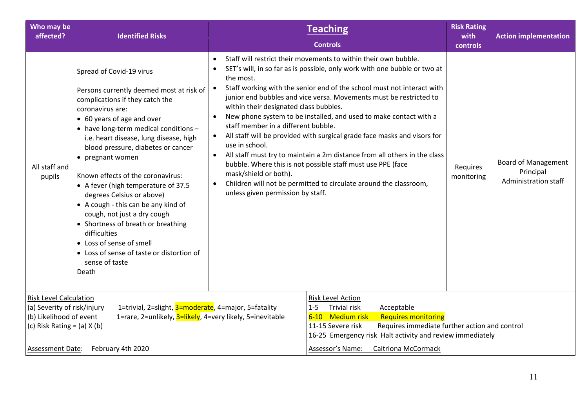| Who may be<br>affected?                                                                                                    | <b>Identified Risks</b>                                                                                                                                                                                                                                                                                                                                                                                                                                                                                                                                                                                                                         |                                                                                                                                                                                                                   | <b>Teaching</b><br><b>Controls</b>                                                                                                                                                                                                                                                                                                                                                                                                                                                                                                                                                                                                                             | <b>Risk Rating</b><br>with<br>controls | <b>Action implementation</b>                                           |
|----------------------------------------------------------------------------------------------------------------------------|-------------------------------------------------------------------------------------------------------------------------------------------------------------------------------------------------------------------------------------------------------------------------------------------------------------------------------------------------------------------------------------------------------------------------------------------------------------------------------------------------------------------------------------------------------------------------------------------------------------------------------------------------|-------------------------------------------------------------------------------------------------------------------------------------------------------------------------------------------------------------------|----------------------------------------------------------------------------------------------------------------------------------------------------------------------------------------------------------------------------------------------------------------------------------------------------------------------------------------------------------------------------------------------------------------------------------------------------------------------------------------------------------------------------------------------------------------------------------------------------------------------------------------------------------------|----------------------------------------|------------------------------------------------------------------------|
| All staff and<br>pupils                                                                                                    | Spread of Covid-19 virus<br>Persons currently deemed most at risk of<br>complications if they catch the<br>coronavirus are:<br>• 60 years of age and over<br>• have long-term medical conditions -<br>i.e. heart disease, lung disease, high<br>blood pressure, diabetes or cancer<br>• pregnant women<br>Known effects of the coronavirus:<br>• A fever (high temperature of 37.5<br>degrees Celsius or above)<br>• A cough - this can be any kind of<br>cough, not just a dry cough<br>• Shortness of breath or breathing<br>difficulties<br>• Loss of sense of smell<br>• Loss of sense of taste or distortion of<br>sense of taste<br>Death | $\bullet$<br>the most.<br>$\bullet$<br>within their designated class bubbles.<br>staff member in a different bubble.<br>use in school.<br>mask/shield or both).<br>$\bullet$<br>unless given permission by staff. | Staff will restrict their movements to within their own bubble.<br>SET's will, in so far as is possible, only work with one bubble or two at<br>Staff working with the senior end of the school must not interact with<br>junior end bubbles and vice versa. Movements must be restricted to<br>New phone system to be installed, and used to make contact with a<br>All staff will be provided with surgical grade face masks and visors for<br>All staff must try to maintain a 2m distance from all others in the class<br>bubble. Where this is not possible staff must use PPE (face<br>Children will not be permitted to circulate around the classroom, | Requires<br>monitoring                 | <b>Board of Management</b><br>Principal<br><b>Administration staff</b> |
| <b>Risk Level Calculation</b><br>(a) Severity of risk/injury<br>(b) Likelihood of event<br>(c) Risk Rating = $(a)$ X $(b)$ | 1=trivial, 2=slight, 3=moderate, 4=major, 5=fatality<br>1=rare, 2=unlikely, 3=likely, 4=very likely, 5=inevitable                                                                                                                                                                                                                                                                                                                                                                                                                                                                                                                               |                                                                                                                                                                                                                   | Risk Level Action<br><b>Trivial risk</b><br>$1 - 5$<br>Acceptable<br>6-10 Medium risk<br><b>Requires monitoring</b><br>Requires immediate further action and control<br>11-15 Severe risk<br>16-25 Emergency risk Halt activity and review immediately                                                                                                                                                                                                                                                                                                                                                                                                         |                                        |                                                                        |
| <b>Assessment Date:</b>                                                                                                    | February 4th 2020                                                                                                                                                                                                                                                                                                                                                                                                                                                                                                                                                                                                                               |                                                                                                                                                                                                                   | Assessor's Name:<br><b>Caitriona McCormack</b>                                                                                                                                                                                                                                                                                                                                                                                                                                                                                                                                                                                                                 |                                        |                                                                        |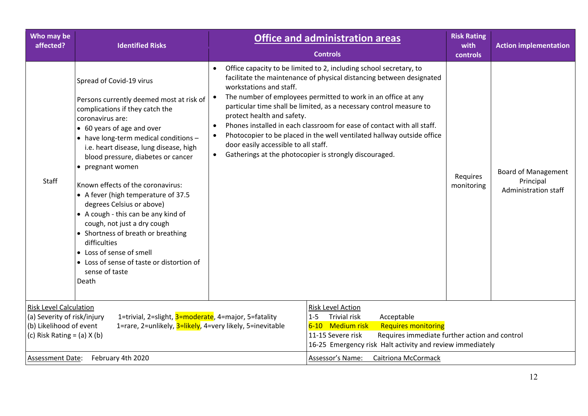| Who may be<br>affected?                                                                                                                                                                                                                         | <b>Identified Risks</b>                                                                                                                                                                                                                                                                                                                                                                                                                                                                                                                                                                                                                         |                                                                                                                                                                                                                                                        | <b>Office and administration areas</b><br><b>Controls</b>                                                                                                                                                                                                                                                                                                                                                                                                                                        | <b>Risk Rating</b><br>with<br>controls | <b>Action implementation</b>                                    |
|-------------------------------------------------------------------------------------------------------------------------------------------------------------------------------------------------------------------------------------------------|-------------------------------------------------------------------------------------------------------------------------------------------------------------------------------------------------------------------------------------------------------------------------------------------------------------------------------------------------------------------------------------------------------------------------------------------------------------------------------------------------------------------------------------------------------------------------------------------------------------------------------------------------|--------------------------------------------------------------------------------------------------------------------------------------------------------------------------------------------------------------------------------------------------------|--------------------------------------------------------------------------------------------------------------------------------------------------------------------------------------------------------------------------------------------------------------------------------------------------------------------------------------------------------------------------------------------------------------------------------------------------------------------------------------------------|----------------------------------------|-----------------------------------------------------------------|
| Staff                                                                                                                                                                                                                                           | Spread of Covid-19 virus<br>Persons currently deemed most at risk of<br>complications if they catch the<br>coronavirus are:<br>• 60 years of age and over<br>• have long-term medical conditions -<br>i.e. heart disease, lung disease, high<br>blood pressure, diabetes or cancer<br>• pregnant women<br>Known effects of the coronavirus:<br>• A fever (high temperature of 37.5<br>degrees Celsius or above)<br>• A cough - this can be any kind of<br>cough, not just a dry cough<br>• Shortness of breath or breathing<br>difficulties<br>• Loss of sense of smell<br>• Loss of sense of taste or distortion of<br>sense of taste<br>Death | workstations and staff.<br>protect health and safety.<br>$\bullet$<br>$\bullet$<br>door easily accessible to all staff.<br>$\bullet$                                                                                                                   | Office capacity to be limited to 2, including school secretary, to<br>facilitate the maintenance of physical distancing between designated<br>The number of employees permitted to work in an office at any<br>particular time shall be limited, as a necessary control measure to<br>Phones installed in each classroom for ease of contact with all staff.<br>Photocopier to be placed in the well ventilated hallway outside office<br>Gatherings at the photocopier is strongly discouraged. | Requires<br>monitoring                 | <b>Board of Management</b><br>Principal<br>Administration staff |
| <b>Risk Level Calculation</b><br>1=trivial, 2=slight, 3=moderate, 4=major, 5=fatality<br>(a) Severity of risk/injury<br>(b) Likelihood of event<br>1=rare, 2=unlikely, 3=likely, 4=very likely, 5=inevitable<br>(c) Risk Rating = $(a)$ X $(b)$ |                                                                                                                                                                                                                                                                                                                                                                                                                                                                                                                                                                                                                                                 | Risk Level Action<br><b>Trivial risk</b><br>Acceptable<br>$1 - 5$<br>6-10 Medium risk<br><b>Requires monitoring</b><br>Requires immediate further action and control<br>11-15 Severe risk<br>16-25 Emergency risk Halt activity and review immediately |                                                                                                                                                                                                                                                                                                                                                                                                                                                                                                  |                                        |                                                                 |
| Assessment Date:                                                                                                                                                                                                                                | February 4th 2020                                                                                                                                                                                                                                                                                                                                                                                                                                                                                                                                                                                                                               |                                                                                                                                                                                                                                                        | Assessor's Name:<br>Caitriona McCormack                                                                                                                                                                                                                                                                                                                                                                                                                                                          |                                        |                                                                 |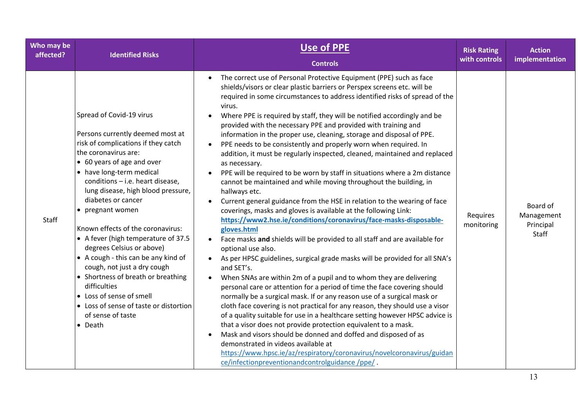| Who may be | <b>Identified Risks</b>                                                                                                                                                                                                                                                                                                                                                                                                                                                                                                                                                                                                                              | Use of PPE                                                                                                                                                                                                                                                                                                                                                                                                                                                                                                                                                                                                                                                                                                                                                                                                                                                                                                                                                                                                                                                                                                                                                                                                                                                                                                                                                                                                                                                                                                                                                                                                                                                                                                                                                                                                                                                                                                                                                                            | <b>Risk Rating</b>     | <b>Action</b>                                |
|------------|------------------------------------------------------------------------------------------------------------------------------------------------------------------------------------------------------------------------------------------------------------------------------------------------------------------------------------------------------------------------------------------------------------------------------------------------------------------------------------------------------------------------------------------------------------------------------------------------------------------------------------------------------|---------------------------------------------------------------------------------------------------------------------------------------------------------------------------------------------------------------------------------------------------------------------------------------------------------------------------------------------------------------------------------------------------------------------------------------------------------------------------------------------------------------------------------------------------------------------------------------------------------------------------------------------------------------------------------------------------------------------------------------------------------------------------------------------------------------------------------------------------------------------------------------------------------------------------------------------------------------------------------------------------------------------------------------------------------------------------------------------------------------------------------------------------------------------------------------------------------------------------------------------------------------------------------------------------------------------------------------------------------------------------------------------------------------------------------------------------------------------------------------------------------------------------------------------------------------------------------------------------------------------------------------------------------------------------------------------------------------------------------------------------------------------------------------------------------------------------------------------------------------------------------------------------------------------------------------------------------------------------------------|------------------------|----------------------------------------------|
| affected?  |                                                                                                                                                                                                                                                                                                                                                                                                                                                                                                                                                                                                                                                      | <b>Controls</b>                                                                                                                                                                                                                                                                                                                                                                                                                                                                                                                                                                                                                                                                                                                                                                                                                                                                                                                                                                                                                                                                                                                                                                                                                                                                                                                                                                                                                                                                                                                                                                                                                                                                                                                                                                                                                                                                                                                                                                       | with controls          | implementation                               |
| Staff      | Spread of Covid-19 virus<br>Persons currently deemed most at<br>risk of complications if they catch<br>the coronavirus are:<br>• 60 years of age and over<br>• have long-term medical<br>conditions - i.e. heart disease,<br>lung disease, high blood pressure,<br>diabetes or cancer<br>• pregnant women<br>Known effects of the coronavirus:<br>• A fever (high temperature of 37.5<br>degrees Celsius or above)<br>• A cough - this can be any kind of<br>cough, not just a dry cough<br>• Shortness of breath or breathing<br>difficulties<br>• Loss of sense of smell<br>• Loss of sense of taste or distortion<br>of sense of taste<br>• Death | The correct use of Personal Protective Equipment (PPE) such as face<br>$\bullet$<br>shields/visors or clear plastic barriers or Perspex screens etc. will be<br>required in some circumstances to address identified risks of spread of the<br>virus.<br>Where PPE is required by staff, they will be notified accordingly and be<br>$\bullet$<br>provided with the necessary PPE and provided with training and<br>information in the proper use, cleaning, storage and disposal of PPE.<br>PPE needs to be consistently and properly worn when required. In<br>addition, it must be regularly inspected, cleaned, maintained and replaced<br>as necessary.<br>PPE will be required to be worn by staff in situations where a 2m distance<br>cannot be maintained and while moving throughout the building, in<br>hallways etc.<br>Current general guidance from the HSE in relation to the wearing of face<br>coverings, masks and gloves is available at the following Link:<br>https://www2.hse.ie/conditions/coronavirus/face-masks-disposable-<br>gloves.html<br>Face masks and shields will be provided to all staff and are available for<br>$\bullet$<br>optional use also.<br>As per HPSC guidelines, surgical grade masks will be provided for all SNA's<br>and SET's.<br>When SNAs are within 2m of a pupil and to whom they are delivering<br>personal care or attention for a period of time the face covering should<br>normally be a surgical mask. If or any reason use of a surgical mask or<br>cloth face covering is not practical for any reason, they should use a visor<br>of a quality suitable for use in a healthcare setting however HPSC advice is<br>that a visor does not provide protection equivalent to a mask.<br>Mask and visors should be donned and doffed and disposed of as<br>demonstrated in videos available at<br>https://www.hpsc.ie/az/respiratory/coronavirus/novelcoronavirus/guidan<br>ce/infectionpreventionandcontrolguidance/ppe/. | Requires<br>monitoring | Board of<br>Management<br>Principal<br>Staff |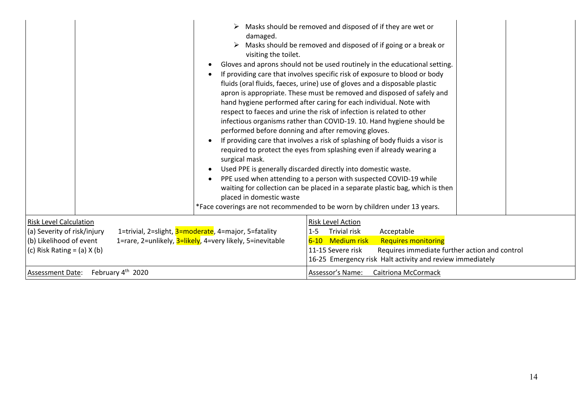|                                                                                                                            | damaged.<br>visiting the toilet.<br>surgical mask.<br>$\bullet$<br>$\bullet$<br>placed in domestic waste          | $\triangleright$ Masks should be removed and disposed of if they are wet or<br>$\triangleright$ Masks should be removed and disposed of if going or a break or<br>Gloves and aprons should not be used routinely in the educational setting.<br>If providing care that involves specific risk of exposure to blood or body<br>fluids (oral fluids, faeces, urine) use of gloves and a disposable plastic<br>apron is appropriate. These must be removed and disposed of safely and<br>hand hygiene performed after caring for each individual. Note with<br>respect to faeces and urine the risk of infection is related to other<br>infectious organisms rather than COVID-19. 10. Hand hygiene should be<br>performed before donning and after removing gloves.<br>If providing care that involves a risk of splashing of body fluids a visor is<br>required to protect the eyes from splashing even if already wearing a<br>Used PPE is generally discarded directly into domestic waste.<br>PPE used when attending to a person with suspected COVID-19 while<br>waiting for collection can be placed in a separate plastic bag, which is then<br>*Face coverings are not recommended to be worn by children under 13 years. |
|----------------------------------------------------------------------------------------------------------------------------|-------------------------------------------------------------------------------------------------------------------|----------------------------------------------------------------------------------------------------------------------------------------------------------------------------------------------------------------------------------------------------------------------------------------------------------------------------------------------------------------------------------------------------------------------------------------------------------------------------------------------------------------------------------------------------------------------------------------------------------------------------------------------------------------------------------------------------------------------------------------------------------------------------------------------------------------------------------------------------------------------------------------------------------------------------------------------------------------------------------------------------------------------------------------------------------------------------------------------------------------------------------------------------------------------------------------------------------------------------------|
| <b>Risk Level Calculation</b><br>(a) Severity of risk/injury<br>(b) Likelihood of event<br>(c) Risk Rating = $(a)$ X $(b)$ | 1=trivial, 2=slight, 3=moderate, 4=major, 5=fatality<br>1=rare, 2=unlikely, 3=likely, 4=very likely, 5=inevitable | <b>Risk Level Action</b><br>Acceptable<br>Trivial risk<br>$1 - 5$<br>6-10 Medium risk<br><b>Requires monitoring</b><br>11-15 Severe risk<br>Requires immediate further action and control<br>16-25 Emergency risk Halt activity and review immediately                                                                                                                                                                                                                                                                                                                                                                                                                                                                                                                                                                                                                                                                                                                                                                                                                                                                                                                                                                           |
| <b>Assessment Date:</b>                                                                                                    | February 4 <sup>th</sup> 2020                                                                                     | Assessor's Name:<br><b>Caitriona McCormack</b>                                                                                                                                                                                                                                                                                                                                                                                                                                                                                                                                                                                                                                                                                                                                                                                                                                                                                                                                                                                                                                                                                                                                                                                   |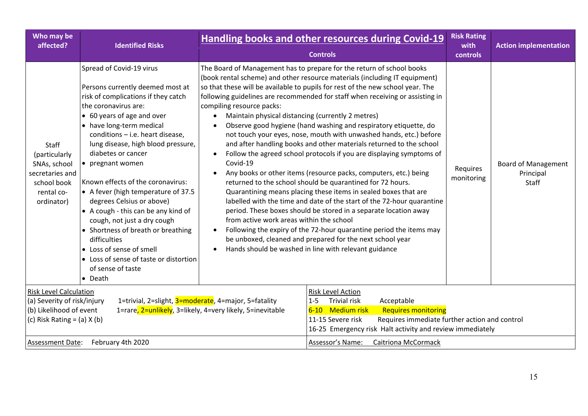| Who may be<br>affected?                                                                                                                                                                                                                         | <b>Identified Risks</b>                                                                                                                                                                                                                                                                                                                                                                                                                                                                                                                                                                                                                              |                                                                                                                                        | <b>Handling books and other resources during Covid-19</b><br><b>Controls</b>                                                                                                                                                                                                                                                                                                                                                                                                                                                                                                                                                                                                                                                                                                                                                                                                                                                                                                                                                                                                                                                                                    | <b>Risk Rating</b><br>with<br>controls | <b>Action implementation</b>                     |
|-------------------------------------------------------------------------------------------------------------------------------------------------------------------------------------------------------------------------------------------------|------------------------------------------------------------------------------------------------------------------------------------------------------------------------------------------------------------------------------------------------------------------------------------------------------------------------------------------------------------------------------------------------------------------------------------------------------------------------------------------------------------------------------------------------------------------------------------------------------------------------------------------------------|----------------------------------------------------------------------------------------------------------------------------------------|-----------------------------------------------------------------------------------------------------------------------------------------------------------------------------------------------------------------------------------------------------------------------------------------------------------------------------------------------------------------------------------------------------------------------------------------------------------------------------------------------------------------------------------------------------------------------------------------------------------------------------------------------------------------------------------------------------------------------------------------------------------------------------------------------------------------------------------------------------------------------------------------------------------------------------------------------------------------------------------------------------------------------------------------------------------------------------------------------------------------------------------------------------------------|----------------------------------------|--------------------------------------------------|
| Staff<br>(particularly<br>SNAs, school<br>secretaries and<br>school book<br>rental co-<br>ordinator)                                                                                                                                            | Spread of Covid-19 virus<br>Persons currently deemed most at<br>risk of complications if they catch<br>the coronavirus are:<br>• 60 years of age and over<br>• have long-term medical<br>conditions - i.e. heart disease,<br>lung disease, high blood pressure,<br>diabetes or cancer<br>• pregnant women<br>Known effects of the coronavirus:<br>• A fever (high temperature of 37.5<br>degrees Celsius or above)<br>• A cough - this can be any kind of<br>cough, not just a dry cough<br>• Shortness of breath or breathing<br>difficulties<br>• Loss of sense of smell<br>• Loss of sense of taste or distortion<br>of sense of taste<br>• Death | compiling resource packs:<br>Maintain physical distancing (currently 2 metres)<br>Covid-19<br>from active work areas within the school | The Board of Management has to prepare for the return of school books<br>(book rental scheme) and other resource materials (including IT equipment)<br>so that these will be available to pupils for rest of the new school year. The<br>following guidelines are recommended for staff when receiving or assisting in<br>Observe good hygiene (hand washing and respiratory etiquette, do<br>not touch your eyes, nose, mouth with unwashed hands, etc.) before<br>and after handling books and other materials returned to the school<br>Follow the agreed school protocols if you are displaying symptoms of<br>Any books or other items (resource packs, computers, etc.) being<br>returned to the school should be quarantined for 72 hours.<br>Quarantining means placing these items in sealed boxes that are<br>labelled with the time and date of the start of the 72-hour quarantine<br>period. These boxes should be stored in a separate location away<br>Following the expiry of the 72-hour quarantine period the items may<br>be unboxed, cleaned and prepared for the next school year<br>Hands should be washed in line with relevant guidance | Requires<br>monitoring                 | <b>Board of Management</b><br>Principal<br>Staff |
| <b>Risk Level Calculation</b><br>1=trivial, 2=slight, 3=moderate, 4=major, 5=fatality<br>(a) Severity of risk/injury<br>(b) Likelihood of event<br>1=rare, 2=unlikely, 3=likely, 4=very likely, 5=inevitable<br>(c) Risk Rating = $(a)$ X $(b)$ |                                                                                                                                                                                                                                                                                                                                                                                                                                                                                                                                                                                                                                                      |                                                                                                                                        | Risk Level Action<br><b>Trivial risk</b><br>Acceptable<br>$1 - 5$<br>6-10 Medium risk<br><b>Requires monitoring</b><br>11-15 Severe risk<br>Requires immediate further action and control<br>16-25 Emergency risk Halt activity and review immediately                                                                                                                                                                                                                                                                                                                                                                                                                                                                                                                                                                                                                                                                                                                                                                                                                                                                                                          |                                        |                                                  |
| <b>Assessment Date:</b>                                                                                                                                                                                                                         | February 4th 2020                                                                                                                                                                                                                                                                                                                                                                                                                                                                                                                                                                                                                                    |                                                                                                                                        | Assessor's Name:<br>Caitriona McCormack                                                                                                                                                                                                                                                                                                                                                                                                                                                                                                                                                                                                                                                                                                                                                                                                                                                                                                                                                                                                                                                                                                                         |                                        |                                                  |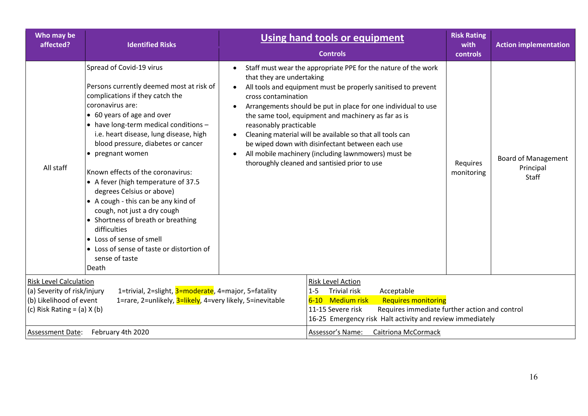| Who may be<br>affected?                                                                                                    | <b>Identified Risks</b>                                                                                                                                                                                                                                                                                                                                                                                                                                                                                                                                                                                                                         |                                                                                                                   | <b>Using hand tools or equipment</b><br><b>Controls</b>                                                                                                                                                                                                                                                                                                                                                                                                                          | <b>Risk Rating</b><br>with<br>controls | <b>Action implementation</b>                     |
|----------------------------------------------------------------------------------------------------------------------------|-------------------------------------------------------------------------------------------------------------------------------------------------------------------------------------------------------------------------------------------------------------------------------------------------------------------------------------------------------------------------------------------------------------------------------------------------------------------------------------------------------------------------------------------------------------------------------------------------------------------------------------------------|-------------------------------------------------------------------------------------------------------------------|----------------------------------------------------------------------------------------------------------------------------------------------------------------------------------------------------------------------------------------------------------------------------------------------------------------------------------------------------------------------------------------------------------------------------------------------------------------------------------|----------------------------------------|--------------------------------------------------|
| All staff                                                                                                                  | Spread of Covid-19 virus<br>Persons currently deemed most at risk of<br>complications if they catch the<br>coronavirus are:<br>• 60 years of age and over<br>• have long-term medical conditions -<br>i.e. heart disease, lung disease, high<br>blood pressure, diabetes or cancer<br>• pregnant women<br>Known effects of the coronavirus:<br>• A fever (high temperature of 37.5<br>degrees Celsius or above)<br>• A cough - this can be any kind of<br>cough, not just a dry cough<br>• Shortness of breath or breathing<br>difficulties<br>• Loss of sense of smell<br>• Loss of sense of taste or distortion of<br>sense of taste<br>Death | $\bullet$<br>that they are undertaking<br>cross contamination<br>reasonably practicable<br>$\bullet$<br>$\bullet$ | Staff must wear the appropriate PPE for the nature of the work<br>All tools and equipment must be properly sanitised to prevent<br>Arrangements should be put in place for one individual to use<br>the same tool, equipment and machinery as far as is<br>Cleaning material will be available so that all tools can<br>be wiped down with disinfectant between each use<br>All mobile machinery (including lawnmowers) must be<br>thoroughly cleaned and santisied prior to use | Requires<br>monitoring                 | <b>Board of Management</b><br>Principal<br>Staff |
| <b>Risk Level Calculation</b><br>(a) Severity of risk/injury<br>(b) Likelihood of event<br>(c) Risk Rating = $(a)$ X $(b)$ | 1=trivial, 2=slight, 3=moderate, 4=major, 5=fatality<br>1=rare, 2=unlikely, 3=likely, 4=very likely, 5=inevitable                                                                                                                                                                                                                                                                                                                                                                                                                                                                                                                               |                                                                                                                   | Risk Level Action<br><b>Trivial risk</b><br>Acceptable<br>$1 - 5$<br>6-10 Medium risk<br><b>Requires monitoring</b><br>11-15 Severe risk<br>Requires immediate further action and control<br>16-25 Emergency risk Halt activity and review immediately                                                                                                                                                                                                                           |                                        |                                                  |
| <b>Assessment Date:</b>                                                                                                    | February 4th 2020                                                                                                                                                                                                                                                                                                                                                                                                                                                                                                                                                                                                                               |                                                                                                                   | Assessor's Name:<br><b>Caitriona McCormack</b>                                                                                                                                                                                                                                                                                                                                                                                                                                   |                                        |                                                  |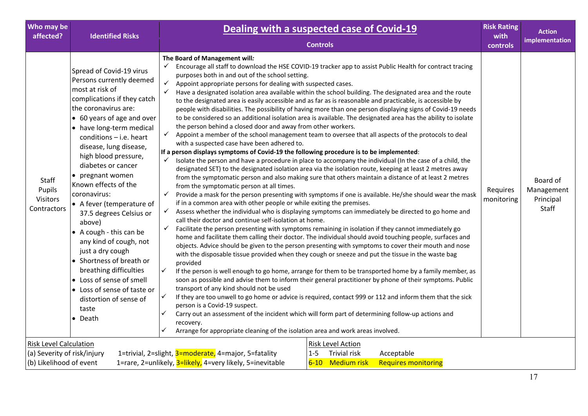| Who may be<br>affected?                                                                 | <b>Identified Risks</b>                                                                                                                                                                                                                                                                                                                                                                                                                                                                                                                                                                                                                                                     | Dealing with a suspected case of Covid-19<br><b>Controls</b>                                                                                                                                                                                                                                                                                                                                                                                                                                                                                                                                                                                                                                                                                                                                                                                                                                                                                                                                                                                                                                                                                                                                                                                                                                                                                                                                                                                                                                                                                                                                                                                                                                                                                                                                                                                                                                                                                                                                                                                                                                                                                                                                                                                                                                                                                                                                                                                                                                                                                                                                                                                                                                                                                                                                                                                                                                                                     | <b>Risk Rating</b><br>with<br>controls | <b>Action</b><br>implementation              |
|-----------------------------------------------------------------------------------------|-----------------------------------------------------------------------------------------------------------------------------------------------------------------------------------------------------------------------------------------------------------------------------------------------------------------------------------------------------------------------------------------------------------------------------------------------------------------------------------------------------------------------------------------------------------------------------------------------------------------------------------------------------------------------------|----------------------------------------------------------------------------------------------------------------------------------------------------------------------------------------------------------------------------------------------------------------------------------------------------------------------------------------------------------------------------------------------------------------------------------------------------------------------------------------------------------------------------------------------------------------------------------------------------------------------------------------------------------------------------------------------------------------------------------------------------------------------------------------------------------------------------------------------------------------------------------------------------------------------------------------------------------------------------------------------------------------------------------------------------------------------------------------------------------------------------------------------------------------------------------------------------------------------------------------------------------------------------------------------------------------------------------------------------------------------------------------------------------------------------------------------------------------------------------------------------------------------------------------------------------------------------------------------------------------------------------------------------------------------------------------------------------------------------------------------------------------------------------------------------------------------------------------------------------------------------------------------------------------------------------------------------------------------------------------------------------------------------------------------------------------------------------------------------------------------------------------------------------------------------------------------------------------------------------------------------------------------------------------------------------------------------------------------------------------------------------------------------------------------------------------------------------------------------------------------------------------------------------------------------------------------------------------------------------------------------------------------------------------------------------------------------------------------------------------------------------------------------------------------------------------------------------------------------------------------------------------------------------------------------------|----------------------------------------|----------------------------------------------|
| Staff<br>Pupils<br>Visitors<br><b>Contractors</b>                                       | Spread of Covid-19 virus<br>Persons currently deemed<br>most at risk of<br>complications if they catch<br>the coronavirus are:<br>• 60 years of age and over<br>• have long-term medical<br>$conditions - i.e.$ heart<br>disease, lung disease,<br>high blood pressure,<br>diabetes or cancer<br>• pregnant women<br>Known effects of the<br>coronavirus:<br>• A fever (temperature of<br>37.5 degrees Celsius or<br>above)<br>$\bullet$ A cough - this can be<br>any kind of cough, not<br>just a dry cough<br>• Shortness of breath or<br>breathing difficulties<br>• Loss of sense of smell<br>• Loss of sense of taste or<br>distortion of sense of<br>taste<br>• Death | The Board of Management will:<br>✓<br>Encourage all staff to download the HSE COVID-19 tracker app to assist Public Health for contract tracing<br>purposes both in and out of the school setting.<br>$\checkmark$<br>Appoint appropriate persons for dealing with suspected cases.<br>Have a designated isolation area available within the school building. The designated area and the route<br>✓<br>to the designated area is easily accessible and as far as is reasonable and practicable, is accessible by<br>people with disabilities. The possibility of having more than one person displaying signs of Covid-19 needs<br>to be considered so an additional isolation area is available. The designated area has the ability to isolate<br>the person behind a closed door and away from other workers.<br>Appoint a member of the school management team to oversee that all aspects of the protocols to deal<br>with a suspected case have been adhered to.<br>If a person displays symptoms of Covid-19 the following procedure is to be implemented:<br>Isolate the person and have a procedure in place to accompany the individual (In the case of a child, the<br>designated SET) to the designated isolation area via the isolation route, keeping at least 2 metres away<br>from the symptomatic person and also making sure that others maintain a distance of at least 2 metres<br>from the symptomatic person at all times.<br>Provide a mask for the person presenting with symptoms if one is available. He/she should wear the mask<br>✓<br>if in a common area with other people or while exiting the premises.<br>Assess whether the individual who is displaying symptoms can immediately be directed to go home and<br>$\checkmark$<br>call their doctor and continue self-isolation at home.<br>Facilitate the person presenting with symptoms remaining in isolation if they cannot immediately go<br>✓<br>home and facilitate them calling their doctor. The individual should avoid touching people, surfaces and<br>objects. Advice should be given to the person presenting with symptoms to cover their mouth and nose<br>with the disposable tissue provided when they cough or sneeze and put the tissue in the waste bag<br>provided<br>$\checkmark$<br>If the person is well enough to go home, arrange for them to be transported home by a family member, as<br>soon as possible and advise them to inform their general practitioner by phone of their symptoms. Public<br>transport of any kind should not be used<br>✓<br>If they are too unwell to go home or advice is required, contact 999 or 112 and inform them that the sick<br>person is a Covid-19 suspect.<br>✓<br>Carry out an assessment of the incident which will form part of determining follow-up actions and<br>recovery.<br>✓<br>Arrange for appropriate cleaning of the isolation area and work areas involved. | Requires<br>monitoring                 | Board of<br>Management<br>Principal<br>Staff |
| <b>Risk Level Calculation</b><br>(a) Severity of risk/injury<br>(b) Likelihood of event |                                                                                                                                                                                                                                                                                                                                                                                                                                                                                                                                                                                                                                                                             | <b>Risk Level Action</b><br>1=trivial, 2=slight, 3=moderate, 4=major, 5=fatality<br><b>Trivial risk</b><br>Acceptable<br>$1 - 5$<br>6-10 Medium risk<br><b>Requires monitoring</b><br>1=rare, 2=unlikely, 3=likely, 4=very likely, 5=inevitable                                                                                                                                                                                                                                                                                                                                                                                                                                                                                                                                                                                                                                                                                                                                                                                                                                                                                                                                                                                                                                                                                                                                                                                                                                                                                                                                                                                                                                                                                                                                                                                                                                                                                                                                                                                                                                                                                                                                                                                                                                                                                                                                                                                                                                                                                                                                                                                                                                                                                                                                                                                                                                                                                  |                                        |                                              |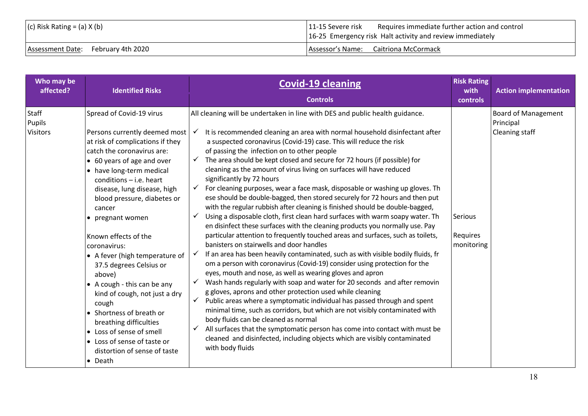| $(c)$ Risk Rating = (a) X (b)      | Requires immediate further action and control<br> 11-15 Severe risk<br>16-25 Emergency risk Halt activity and review immediately |
|------------------------------------|----------------------------------------------------------------------------------------------------------------------------------|
| Assessment Date: February 4th 2020 | Assessor's Name: Caitriona McCormack                                                                                             |

| Who may be<br>affected?            | <b>Identified Risks</b>                                                                                                                                                                                                                                                                                                                                                                                                                                                                                                                                                                                                                                            | <b>Covid-19 cleaning</b><br><b>Controls</b>                                                                                                                                                                                                                                                                                                                                                                                                                                                                                                                                                                                                                                                                                                                                                                                                                                                                                                                                                                                                                                                                                                                                                                                                                                                                                                                                                                                                                                                                                                                                                                                                                                                                                                                                                                                                                 | <b>Risk Rating</b><br>with<br><b>controls</b> | <b>Action implementation</b>                              |
|------------------------------------|--------------------------------------------------------------------------------------------------------------------------------------------------------------------------------------------------------------------------------------------------------------------------------------------------------------------------------------------------------------------------------------------------------------------------------------------------------------------------------------------------------------------------------------------------------------------------------------------------------------------------------------------------------------------|-------------------------------------------------------------------------------------------------------------------------------------------------------------------------------------------------------------------------------------------------------------------------------------------------------------------------------------------------------------------------------------------------------------------------------------------------------------------------------------------------------------------------------------------------------------------------------------------------------------------------------------------------------------------------------------------------------------------------------------------------------------------------------------------------------------------------------------------------------------------------------------------------------------------------------------------------------------------------------------------------------------------------------------------------------------------------------------------------------------------------------------------------------------------------------------------------------------------------------------------------------------------------------------------------------------------------------------------------------------------------------------------------------------------------------------------------------------------------------------------------------------------------------------------------------------------------------------------------------------------------------------------------------------------------------------------------------------------------------------------------------------------------------------------------------------------------------------------------------------|-----------------------------------------------|-----------------------------------------------------------|
| Staff<br>Pupils<br><b>Visitors</b> | Spread of Covid-19 virus<br>Persons currently deemed most<br>at risk of complications if they<br>catch the coronavirus are:<br>• 60 years of age and over<br>• have long-term medical<br>conditions $-$ i.e. heart<br>disease, lung disease, high<br>blood pressure, diabetes or<br>cancer<br>• pregnant women<br>Known effects of the<br>coronavirus:<br>• A fever (high temperature of<br>37.5 degrees Celsius or<br>above)<br>• A cough - this can be any<br>kind of cough, not just a dry<br>cough<br>• Shortness of breath or<br>breathing difficulties<br>• Loss of sense of smell<br>• Loss of sense of taste or<br>distortion of sense of taste<br>• Death | All cleaning will be undertaken in line with DES and public health guidance.<br>It is recommended cleaning an area with normal household disinfectant after<br>a suspected coronavirus (Covid-19) case. This will reduce the risk<br>of passing the infection on to other people<br>$\checkmark$ The area should be kept closed and secure for 72 hours (if possible) for<br>cleaning as the amount of virus living on surfaces will have reduced<br>significantly by 72 hours<br>$\checkmark$ For cleaning purposes, wear a face mask, disposable or washing up gloves. Th<br>ese should be double-bagged, then stored securely for 72 hours and then put<br>with the regular rubbish after cleaning is finished should be double-bagged,<br>Using a disposable cloth, first clean hard surfaces with warm soapy water. Th<br>$\checkmark$<br>en disinfect these surfaces with the cleaning products you normally use. Pay<br>particular attention to frequently touched areas and surfaces, such as toilets,<br>banisters on stairwells and door handles<br>If an area has been heavily contaminated, such as with visible bodily fluids, fr<br>om a person with coronavirus (Covid-19) consider using protection for the<br>eyes, mouth and nose, as well as wearing gloves and apron<br>Wash hands regularly with soap and water for 20 seconds and after removin<br>$\checkmark$<br>g gloves, aprons and other protection used while cleaning<br>Public areas where a symptomatic individual has passed through and spent<br>$\checkmark$<br>minimal time, such as corridors, but which are not visibly contaminated with<br>body fluids can be cleaned as normal<br>All surfaces that the symptomatic person has come into contact with must be<br>✓<br>cleaned and disinfected, including objects which are visibly contaminated<br>with body fluids | Serious<br>Requires<br>monitoring             | <b>Board of Management</b><br>Principal<br>Cleaning staff |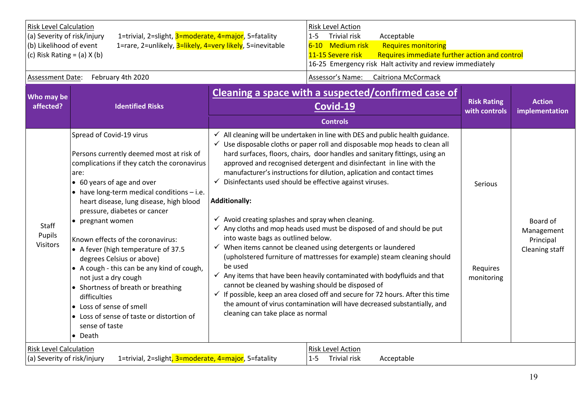| <b>Risk Level Calculation</b><br>(a) Severity of risk/injury<br>(b) Likelihood of event<br>(c) Risk Rating = $(a)$ X $(b)$ | 1=trivial, 2=slight, 3=moderate, 4=major, 5=fatality<br>1=rare, 2=unlikely, 3=likely, 4=very likely, 5=inevitable                                                                                                                                                                                                                                                                                                                                                                                                                                                                                                                                 | Risk Level Action<br>$1 - 5$<br><b>Trivial risk</b><br>Acceptable<br>6-10 Medium risk<br><b>Requires monitoring</b><br>Requires immediate further action and control<br>11-15 Severe risk<br>16-25 Emergency risk Halt activity and review immediately                                                                                                                                                                                                                                                                                                                                                                                                                                                                                                                                                                                                                                                                                                                                                                                                                                                                                                                                                                                      |                                          |                                                       |
|----------------------------------------------------------------------------------------------------------------------------|---------------------------------------------------------------------------------------------------------------------------------------------------------------------------------------------------------------------------------------------------------------------------------------------------------------------------------------------------------------------------------------------------------------------------------------------------------------------------------------------------------------------------------------------------------------------------------------------------------------------------------------------------|---------------------------------------------------------------------------------------------------------------------------------------------------------------------------------------------------------------------------------------------------------------------------------------------------------------------------------------------------------------------------------------------------------------------------------------------------------------------------------------------------------------------------------------------------------------------------------------------------------------------------------------------------------------------------------------------------------------------------------------------------------------------------------------------------------------------------------------------------------------------------------------------------------------------------------------------------------------------------------------------------------------------------------------------------------------------------------------------------------------------------------------------------------------------------------------------------------------------------------------------|------------------------------------------|-------------------------------------------------------|
| <b>Assessment Date:</b>                                                                                                    | February 4th 2020                                                                                                                                                                                                                                                                                                                                                                                                                                                                                                                                                                                                                                 | Assessor's Name:<br><b>Caitriona McCormack</b>                                                                                                                                                                                                                                                                                                                                                                                                                                                                                                                                                                                                                                                                                                                                                                                                                                                                                                                                                                                                                                                                                                                                                                                              |                                          |                                                       |
| Who may be<br>affected?                                                                                                    | <b>Identified Risks</b>                                                                                                                                                                                                                                                                                                                                                                                                                                                                                                                                                                                                                           | Cleaning a space with a suspected/confirmed case of<br>Covid-19<br><b>Controls</b>                                                                                                                                                                                                                                                                                                                                                                                                                                                                                                                                                                                                                                                                                                                                                                                                                                                                                                                                                                                                                                                                                                                                                          | <b>Risk Rating</b><br>with controls      | <b>Action</b><br>implementation                       |
| Staff<br>Pupils<br><b>Visitors</b>                                                                                         | Spread of Covid-19 virus<br>Persons currently deemed most at risk of<br>complications if they catch the coronavirus<br>are:<br>• 60 years of age and over<br>• have long-term medical conditions - i.e.<br>heart disease, lung disease, high blood<br>pressure, diabetes or cancer<br>• pregnant women<br>Known effects of the coronavirus:<br>• A fever (high temperature of 37.5<br>degrees Celsius or above)<br>• A cough - this can be any kind of cough,<br>not just a dry cough<br>• Shortness of breath or breathing<br>difficulties<br>• Loss of sense of smell<br>• Loss of sense of taste or distortion of<br>sense of taste<br>• Death | $\checkmark$ All cleaning will be undertaken in line with DES and public health guidance.<br>$\checkmark$ Use disposable cloths or paper roll and disposable mop heads to clean all<br>hard surfaces, floors, chairs, door handles and sanitary fittings, using an<br>approved and recognised detergent and disinfectant in line with the<br>manufacturer's instructions for dilution, aplication and contact times<br>$\checkmark$ Disinfectants used should be effective against viruses.<br><b>Additionally:</b><br>$\checkmark$ Avoid creating splashes and spray when cleaning.<br>$\checkmark$ Any cloths and mop heads used must be disposed of and should be put<br>into waste bags as outlined below.<br>$\checkmark$ When items cannot be cleaned using detergents or laundered<br>(upholstered furniture of mattresses for example) steam cleaning should<br>be used<br>$\checkmark$ Any items that have been heavily contaminated with bodyfluids and that<br>cannot be cleaned by washing should be disposed of<br>$\checkmark$ If possible, keep an area closed off and secure for 72 hours. After this time<br>the amount of virus contamination will have decreased substantially, and<br>cleaning can take place as normal | <b>Serious</b><br>Requires<br>monitoring | Board of<br>Management<br>Principal<br>Cleaning staff |
| <b>Risk Level Calculation</b><br>(a) Severity of risk/injury                                                               | 1=trivial, 2=slight, 3=moderate, 4=major, 5=fatality                                                                                                                                                                                                                                                                                                                                                                                                                                                                                                                                                                                              | Risk Level Action<br><b>Trivial risk</b><br>$1 - 5$<br>Acceptable                                                                                                                                                                                                                                                                                                                                                                                                                                                                                                                                                                                                                                                                                                                                                                                                                                                                                                                                                                                                                                                                                                                                                                           |                                          |                                                       |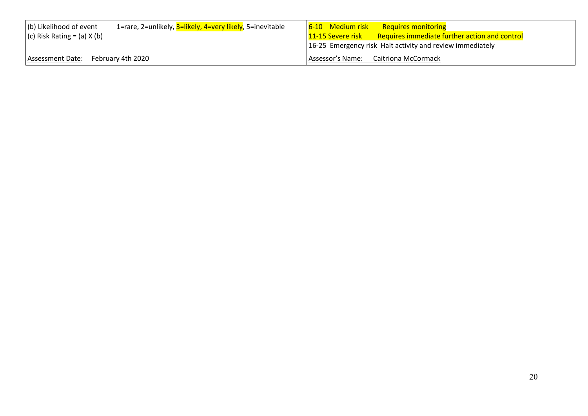| 1=rare, 2=unlikely, 3=likely, 4=very likely, 5=inevitable<br>$ $ (b) Likelihood of event<br>$(c)$ Risk Rating = (a) X (b) | 6-10 Medium risk<br>Requires monitoring<br>$\vert$ 11-15 Severe risk Requires immediate further action and control<br>16-25 Emergency risk Halt activity and review immediately |
|---------------------------------------------------------------------------------------------------------------------------|---------------------------------------------------------------------------------------------------------------------------------------------------------------------------------|
| Assessment Date: February 4th 2020                                                                                        | Assessor's Name: Caitriona McCormack                                                                                                                                            |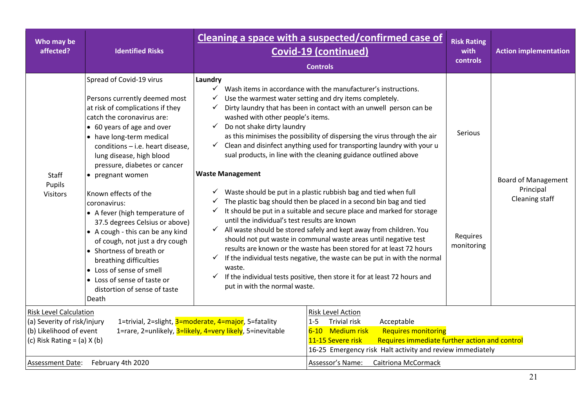| Who may be<br>affected?                                                                                                    | <b>Identified Risks</b>                                                                                                                                                                                                                                                                                                                  | Cleaning a space with a suspected/confirmed case of<br><b>Covid-19 (continued)</b>                                                   | <b>Risk Rating</b><br>with<br>controls                                                                                                                                                                                                                                                                                                                                                                                                                                                                                                                                                                                             | <b>Action implementation</b> |                                         |
|----------------------------------------------------------------------------------------------------------------------------|------------------------------------------------------------------------------------------------------------------------------------------------------------------------------------------------------------------------------------------------------------------------------------------------------------------------------------------|--------------------------------------------------------------------------------------------------------------------------------------|------------------------------------------------------------------------------------------------------------------------------------------------------------------------------------------------------------------------------------------------------------------------------------------------------------------------------------------------------------------------------------------------------------------------------------------------------------------------------------------------------------------------------------------------------------------------------------------------------------------------------------|------------------------------|-----------------------------------------|
| Staff<br>Pupils                                                                                                            | Spread of Covid-19 virus<br>Persons currently deemed most<br>at risk of complications if they<br>catch the coronavirus are:<br>• 60 years of age and over<br>• have long-term medical<br>conditions - i.e. heart disease,<br>lung disease, high blood<br>pressure, diabetes or cancer<br>• pregnant women                                | Laundry<br>✓<br>✓<br>✓<br>washed with other people's items.<br>Do not shake dirty laundry<br>$\checkmark$<br><b>Waste Management</b> | <b>Controls</b><br>Wash items in accordance with the manufacturer's instructions.<br>Use the warmest water setting and dry items completely.<br>Dirty laundry that has been in contact with an unwell person can be<br>as this minimises the possibility of dispersing the virus through the air<br>$\checkmark$ Clean and disinfect anything used for transporting laundry with your u<br>sual products, in line with the cleaning guidance outlined above                                                                                                                                                                        | <b>Serious</b>               | <b>Board of Management</b><br>Principal |
| <b>Visitors</b>                                                                                                            | Known effects of the<br>coronavirus:<br>• A fever (high temperature of<br>37.5 degrees Celsius or above)<br>• A cough - this can be any kind<br>of cough, not just a dry cough<br>• Shortness of breath or<br>breathing difficulties<br>• Loss of sense of smell<br>• Loss of sense of taste or<br>distortion of sense of taste<br>Death | $\checkmark$<br>$\checkmark$<br>until the individual's test results are known<br>waste.<br>✓<br>put in with the normal waste.        | $\checkmark$ Waste should be put in a plastic rubbish bag and tied when full<br>The plastic bag should then be placed in a second bin bag and tied<br>It should be put in a suitable and secure place and marked for storage<br>$\checkmark$ All waste should be stored safely and kept away from children. You<br>should not put waste in communal waste areas until negative test<br>results are known or the waste has been stored for at least 72 hours<br>$\checkmark$ If the individual tests negative, the waste can be put in with the normal<br>If the individual tests positive, then store it for at least 72 hours and | Requires<br>monitoring       | Cleaning staff                          |
| <b>Risk Level Calculation</b><br>(a) Severity of risk/injury<br>(b) Likelihood of event<br>(c) Risk Rating = $(a)$ X $(b)$ |                                                                                                                                                                                                                                                                                                                                          | 1=trivial, 2=slight, 3=moderate, 4=major, 5=fatality<br>1=rare, 2=unlikely, 3=likely, 4=very likely, 5=inevitable                    | Risk Level Action<br><b>Trivial risk</b><br>Acceptable<br>$1 - 5$<br>6-10 Medium risk<br><b>Requires monitoring</b><br>Requires immediate further action and control<br>11-15 Severe risk<br>16-25 Emergency risk Halt activity and review immediately                                                                                                                                                                                                                                                                                                                                                                             |                              |                                         |
| Assessment Date:                                                                                                           | February 4th 2020                                                                                                                                                                                                                                                                                                                        |                                                                                                                                      | Assessor's Name:<br><b>Caitriona McCormack</b>                                                                                                                                                                                                                                                                                                                                                                                                                                                                                                                                                                                     |                              |                                         |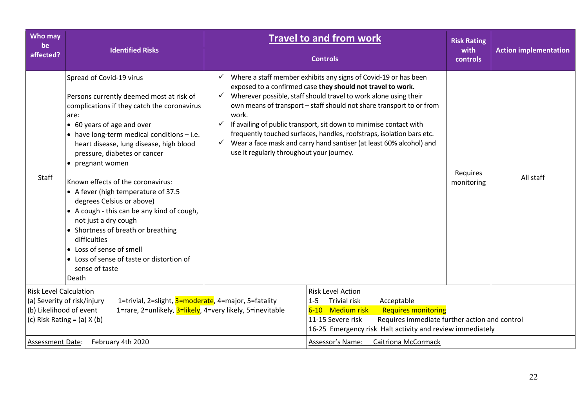| Who may<br>be<br>affected?                               | <b>Identified Risks</b>                                                                                                                                                                                                                                                                                                                                                                                                                                                                                                                                                                                                                         |                                                    | <b>Travel to and from work</b><br><b>Controls</b>                                                                                                                                                                                                                                                                                                                                                                                                                                                             | <b>Risk Rating</b><br>with<br>controls | <b>Action implementation</b> |
|----------------------------------------------------------|-------------------------------------------------------------------------------------------------------------------------------------------------------------------------------------------------------------------------------------------------------------------------------------------------------------------------------------------------------------------------------------------------------------------------------------------------------------------------------------------------------------------------------------------------------------------------------------------------------------------------------------------------|----------------------------------------------------|---------------------------------------------------------------------------------------------------------------------------------------------------------------------------------------------------------------------------------------------------------------------------------------------------------------------------------------------------------------------------------------------------------------------------------------------------------------------------------------------------------------|----------------------------------------|------------------------------|
| <b>Staff</b>                                             | Spread of Covid-19 virus<br>Persons currently deemed most at risk of<br>complications if they catch the coronavirus<br>are:<br>• 60 years of age and over<br>• have long-term medical conditions - i.e.<br>heart disease, lung disease, high blood<br>pressure, diabetes or cancer<br>• pregnant women<br>Known effects of the coronavirus:<br>• A fever (high temperature of 37.5<br>degrees Celsius or above)<br>• A cough - this can be any kind of cough,<br>not just a dry cough<br>• Shortness of breath or breathing<br>difficulties<br>• Loss of sense of smell<br>• Loss of sense of taste or distortion of<br>sense of taste<br>Death | work.<br>use it regularly throughout your journey. | $\checkmark$ Where a staff member exhibits any signs of Covid-19 or has been<br>exposed to a confirmed case they should not travel to work.<br>Wherever possible, staff should travel to work alone using their<br>own means of transport - staff should not share transport to or from<br>If availing of public transport, sit down to minimise contact with<br>frequently touched surfaces, handles, roofstraps, isolation bars etc.<br>Wear a face mask and carry hand santiser (at least 60% alcohol) and | Requires<br>monitoring                 | All staff                    |
| <b>Risk Level Calculation</b><br>(b) Likelihood of event | 1=trivial, 2=slight, 3=moderate, 4=major, 5=fatality<br>(a) Severity of risk/injury<br>1=rare, 2=unlikely, 3=likely, 4=very likely, 5=inevitable<br>(c) Risk Rating = $(a)$ X $(b)$                                                                                                                                                                                                                                                                                                                                                                                                                                                             |                                                    | Risk Level Action<br><b>Trivial risk</b><br>Acceptable<br>$1 - 5$<br>6-10 Medium risk<br><b>Requires monitoring</b><br>Requires immediate further action and control<br>11-15 Severe risk<br>16-25 Emergency risk Halt activity and review immediately                                                                                                                                                                                                                                                        |                                        |                              |
| <b>Assessment Date:</b>                                  | February 4th 2020                                                                                                                                                                                                                                                                                                                                                                                                                                                                                                                                                                                                                               |                                                    | Assessor's Name:<br>Caitriona McCormack                                                                                                                                                                                                                                                                                                                                                                                                                                                                       |                                        |                              |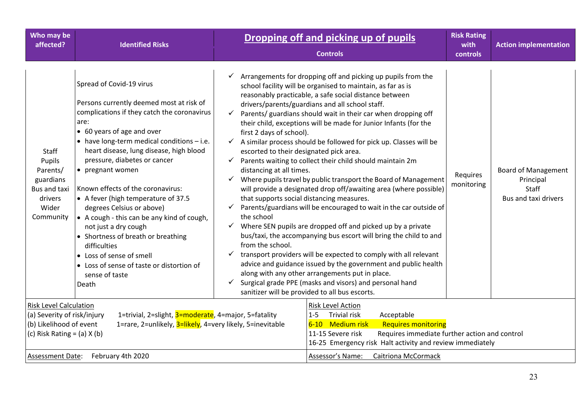| Who may be<br>affected?                                                                                                    | <b>Identified Risks</b>                                                                                                                                                                                                                                                                                                                                                                                                                                                                                                                                                                                                                         |                                                                                                                                                                                                     | Dropping off and picking up of pupils<br><b>Controls</b>                                                                                                                                                                                                                                                                                                                                                                                                                                                                                                                                                                                                                                                                                                                                                                                                                                                                                                                                                                                                                                                                                                                                                                                 | <b>Risk Rating</b><br>with<br>controls | <b>Action implementation</b>                                                    |
|----------------------------------------------------------------------------------------------------------------------------|-------------------------------------------------------------------------------------------------------------------------------------------------------------------------------------------------------------------------------------------------------------------------------------------------------------------------------------------------------------------------------------------------------------------------------------------------------------------------------------------------------------------------------------------------------------------------------------------------------------------------------------------------|-----------------------------------------------------------------------------------------------------------------------------------------------------------------------------------------------------|------------------------------------------------------------------------------------------------------------------------------------------------------------------------------------------------------------------------------------------------------------------------------------------------------------------------------------------------------------------------------------------------------------------------------------------------------------------------------------------------------------------------------------------------------------------------------------------------------------------------------------------------------------------------------------------------------------------------------------------------------------------------------------------------------------------------------------------------------------------------------------------------------------------------------------------------------------------------------------------------------------------------------------------------------------------------------------------------------------------------------------------------------------------------------------------------------------------------------------------|----------------------------------------|---------------------------------------------------------------------------------|
| Staff<br>Pupils<br>Parents/<br>guardians<br>Bus and taxi<br>drivers<br>Wider<br>Community                                  | Spread of Covid-19 virus<br>Persons currently deemed most at risk of<br>complications if they catch the coronavirus<br>are:<br>• 60 years of age and over<br>• have long-term medical conditions - i.e.<br>heart disease, lung disease, high blood<br>pressure, diabetes or cancer<br>• pregnant women<br>Known effects of the coronavirus:<br>• A fever (high temperature of 37.5<br>degrees Celsius or above)<br>• A cough - this can be any kind of cough,<br>not just a dry cough<br>• Shortness of breath or breathing<br>difficulties<br>• Loss of sense of smell<br>• Loss of sense of taste or distortion of<br>sense of taste<br>Death | first 2 days of school).<br>escorted to their designated pick area.<br>✓<br>distancing at all times.<br>that supports social distancing measures.<br>the school<br>from the school.<br>$\checkmark$ | Arrangements for dropping off and picking up pupils from the<br>school facility will be organised to maintain, as far as is<br>reasonably practicable, a safe social distance between<br>drivers/parents/guardians and all school staff.<br>Parents/ guardians should wait in their car when dropping off<br>their child, exceptions will be made for Junior Infants (for the<br>$\checkmark$ A similar process should be followed for pick up. Classes will be<br>Parents waiting to collect their child should maintain 2m<br>$\checkmark$ Where pupils travel by public transport the Board of Management<br>will provide a designated drop off/awaiting area (where possible)<br>$\checkmark$ Parents/guardians will be encouraged to wait in the car outside of<br>$\checkmark$ Where SEN pupils are dropped off and picked up by a private<br>bus/taxi, the accompanying bus escort will bring the child to and<br>$\checkmark$ transport providers will be expected to comply with all relevant<br>advice and guidance issued by the government and public health<br>along with any other arrangements put in place.<br>Surgical grade PPE (masks and visors) and personal hand<br>sanitizer will be provided to all bus escorts. | Requires<br>monitoring                 | <b>Board of Management</b><br>Principal<br><b>Staff</b><br>Bus and taxi drivers |
| <b>Risk Level Calculation</b><br>(a) Severity of risk/injury<br>(b) Likelihood of event<br>(c) Risk Rating = $(a)$ X $(b)$ | 1=trivial, 2=slight, 3=moderate, 4=major, 5=fatality<br>1=rare, 2=unlikely, 3=likely, 4=very likely, 5=inevitable                                                                                                                                                                                                                                                                                                                                                                                                                                                                                                                               |                                                                                                                                                                                                     | <b>Risk Level Action</b><br><b>Trivial risk</b><br>Acceptable<br>$1 - 5$<br>6-10 Medium risk<br><b>Requires monitoring</b><br>11-15 Severe risk<br>Requires immediate further action and control<br>16-25 Emergency risk Halt activity and review immediately                                                                                                                                                                                                                                                                                                                                                                                                                                                                                                                                                                                                                                                                                                                                                                                                                                                                                                                                                                            |                                        |                                                                                 |
| Assessment Date:                                                                                                           | February 4th 2020                                                                                                                                                                                                                                                                                                                                                                                                                                                                                                                                                                                                                               |                                                                                                                                                                                                     | Assessor's Name:<br><b>Caitriona McCormack</b>                                                                                                                                                                                                                                                                                                                                                                                                                                                                                                                                                                                                                                                                                                                                                                                                                                                                                                                                                                                                                                                                                                                                                                                           |                                        |                                                                                 |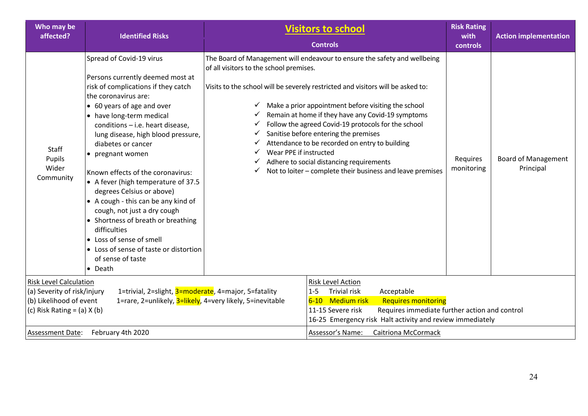| Who may be<br>affected?                                                                                                                                                                                                                         | <b>Identified Risks</b>                                                                                                                                                                                                                                                                                                                                                                                                                                                                                                                                                                                                                                      | <b>Visitors to school</b>                                                                                                                                                                                                                                     |                                                                                                                                                                                                                                                                                                                                                                                                                                                                                                                                      | <b>Risk Rating</b><br>with | <b>Action implementation</b>            |
|-------------------------------------------------------------------------------------------------------------------------------------------------------------------------------------------------------------------------------------------------|--------------------------------------------------------------------------------------------------------------------------------------------------------------------------------------------------------------------------------------------------------------------------------------------------------------------------------------------------------------------------------------------------------------------------------------------------------------------------------------------------------------------------------------------------------------------------------------------------------------------------------------------------------------|---------------------------------------------------------------------------------------------------------------------------------------------------------------------------------------------------------------------------------------------------------------|--------------------------------------------------------------------------------------------------------------------------------------------------------------------------------------------------------------------------------------------------------------------------------------------------------------------------------------------------------------------------------------------------------------------------------------------------------------------------------------------------------------------------------------|----------------------------|-----------------------------------------|
|                                                                                                                                                                                                                                                 |                                                                                                                                                                                                                                                                                                                                                                                                                                                                                                                                                                                                                                                              |                                                                                                                                                                                                                                                               | <b>Controls</b>                                                                                                                                                                                                                                                                                                                                                                                                                                                                                                                      | <b>controls</b>            |                                         |
| Staff<br>Pupils<br>Wider<br>Community                                                                                                                                                                                                           | Spread of Covid-19 virus<br>Persons currently deemed most at<br>risk of complications if they catch<br>the coronavirus are:<br>• 60 years of age and over<br>• have long-term medical<br>conditions - i.e. heart disease,<br>lung disease, high blood pressure,<br>diabetes or cancer<br>• pregnant women<br>Known effects of the coronavirus:<br>• A fever (high temperature of 37.5<br>degrees Celsius or above)<br>• A cough - this can be any kind of<br>cough, not just a dry cough<br>• Shortness of breath or breathing<br>difficulties<br>• Loss of sense of smell<br>• Loss of sense of taste or distortion<br>of sense of taste<br>$\bullet$ Death | of all visitors to the school premises.<br>✓<br>✓<br>✓<br>✓<br>✓<br>Wear PPE if instructed<br>✓<br>✓<br>✓                                                                                                                                                     | The Board of Management will endeavour to ensure the safety and wellbeing<br>Visits to the school will be severely restricted and visitors will be asked to:<br>Make a prior appointment before visiting the school<br>Remain at home if they have any Covid-19 symptoms<br>Follow the agreed Covid-19 protocols for the school<br>Sanitise before entering the premises<br>Attendance to be recorded on entry to building<br>Adhere to social distancing requirements<br>Not to loiter - complete their business and leave premises | Requires<br>monitoring     | <b>Board of Management</b><br>Principal |
| <b>Risk Level Calculation</b><br>1=trivial, 2=slight, 3=moderate, 4=major, 5=fatality<br>(a) Severity of risk/injury<br>(b) Likelihood of event<br>1=rare, 2=unlikely, 3=likely, 4=very likely, 5=inevitable<br>(c) Risk Rating = $(a)$ X $(b)$ |                                                                                                                                                                                                                                                                                                                                                                                                                                                                                                                                                                                                                                                              | <b>Risk Level Action</b><br><b>Trivial risk</b><br>Acceptable<br>$1 - 5$<br>6-10 Medium risk<br><b>Requires monitoring</b><br>Requires immediate further action and control<br>11-15 Severe risk<br>16-25 Emergency risk Halt activity and review immediately |                                                                                                                                                                                                                                                                                                                                                                                                                                                                                                                                      |                            |                                         |
| February 4th 2020<br><b>Assessment Date:</b>                                                                                                                                                                                                    |                                                                                                                                                                                                                                                                                                                                                                                                                                                                                                                                                                                                                                                              |                                                                                                                                                                                                                                                               | <b>Caitriona McCormack</b><br>Assessor's Name:                                                                                                                                                                                                                                                                                                                                                                                                                                                                                       |                            |                                         |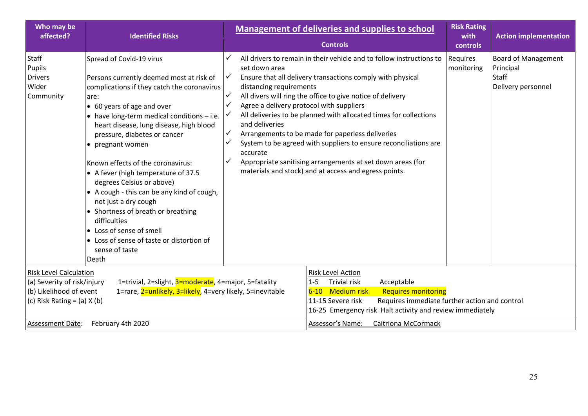| Who may be<br>affected?                                                                                                                        | <b>Identified Risks</b>                                                                                                                                                                                                                                                                                                                                                                                                                                                                                                                                                                                                                         |                                                                                                                                                                                                                                                                                                                                                                                                                                                                                                                                                                                                                                                                     | <b>Management of deliveries and supplies to school</b><br><b>Controls</b>                                                                                                                                                                                                                                       | <b>Risk Rating</b><br>with<br>controls | <b>Action implementation</b>                                           |
|------------------------------------------------------------------------------------------------------------------------------------------------|-------------------------------------------------------------------------------------------------------------------------------------------------------------------------------------------------------------------------------------------------------------------------------------------------------------------------------------------------------------------------------------------------------------------------------------------------------------------------------------------------------------------------------------------------------------------------------------------------------------------------------------------------|---------------------------------------------------------------------------------------------------------------------------------------------------------------------------------------------------------------------------------------------------------------------------------------------------------------------------------------------------------------------------------------------------------------------------------------------------------------------------------------------------------------------------------------------------------------------------------------------------------------------------------------------------------------------|-----------------------------------------------------------------------------------------------------------------------------------------------------------------------------------------------------------------------------------------------------------------------------------------------------------------|----------------------------------------|------------------------------------------------------------------------|
| Staff<br>Pupils<br><b>Drivers</b><br>Wider<br>Community                                                                                        | Spread of Covid-19 virus<br>Persons currently deemed most at risk of<br>complications if they catch the coronavirus<br>are:<br>• 60 years of age and over<br>• have long-term medical conditions - i.e.<br>heart disease, lung disease, high blood<br>pressure, diabetes or cancer<br>• pregnant women<br>Known effects of the coronavirus:<br>• A fever (high temperature of 37.5<br>degrees Celsius or above)<br>• A cough - this can be any kind of cough,<br>not just a dry cough<br>• Shortness of breath or breathing<br>difficulties<br>• Loss of sense of smell<br>• Loss of sense of taste or distortion of<br>sense of taste<br>Death | All drivers to remain in their vehicle and to follow instructions to<br>set down area<br>✓<br>Ensure that all delivery transactions comply with physical<br>distancing requirements<br>✓<br>All divers will ring the office to give notice of delivery<br>✓<br>Agree a delivery protocol with suppliers<br>All deliveries to be planned with allocated times for collections<br>and deliveries<br>✓<br>Arrangements to be made for paperless deliveries<br>System to be agreed with suppliers to ensure reconciliations are<br>accurate<br>✓<br>Appropriate sanitising arrangements at set down areas (for<br>materials and stock) and at access and egress points. |                                                                                                                                                                                                                                                                                                                 | Requires<br>monitoring                 | <b>Board of Management</b><br>Principal<br>Staff<br>Delivery personnel |
| <b>Risk Level Calculation</b><br>(a) Severity of risk/injury<br>(b) Likelihood of event<br>(c) Risk Rating = $(a)$ X $(b)$<br>Assessment Date: | 1=trivial, 2=slight, 3=moderate, 4=major, 5=fatality<br>1=rare, 2=unlikely, 3=likely, 4=very likely, 5=inevitable<br>February 4th 2020                                                                                                                                                                                                                                                                                                                                                                                                                                                                                                          |                                                                                                                                                                                                                                                                                                                                                                                                                                                                                                                                                                                                                                                                     | <b>Risk Level Action</b><br><b>Trivial risk</b><br>$1 - 5$<br>Acceptable<br>6-10 Medium risk<br><b>Requires monitoring</b><br>11-15 Severe risk<br>Requires immediate further action and control<br>16-25 Emergency risk Halt activity and review immediately<br>Assessor's Name:<br><b>Caitriona McCormack</b> |                                        |                                                                        |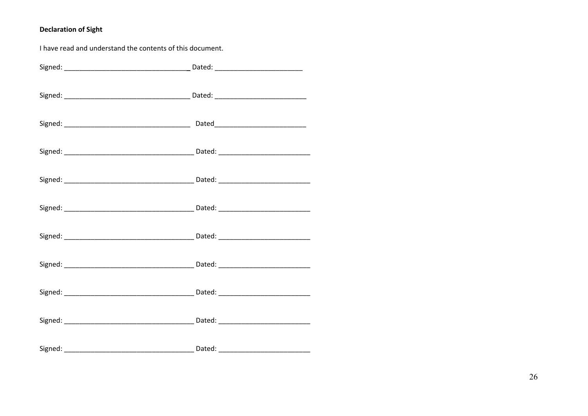# **Declaration of Sight**

| I have read and understand the contents of this document. |  |  |
|-----------------------------------------------------------|--|--|
|                                                           |  |  |
|                                                           |  |  |
|                                                           |  |  |
|                                                           |  |  |
|                                                           |  |  |
|                                                           |  |  |
|                                                           |  |  |
|                                                           |  |  |
|                                                           |  |  |
|                                                           |  |  |
|                                                           |  |  |